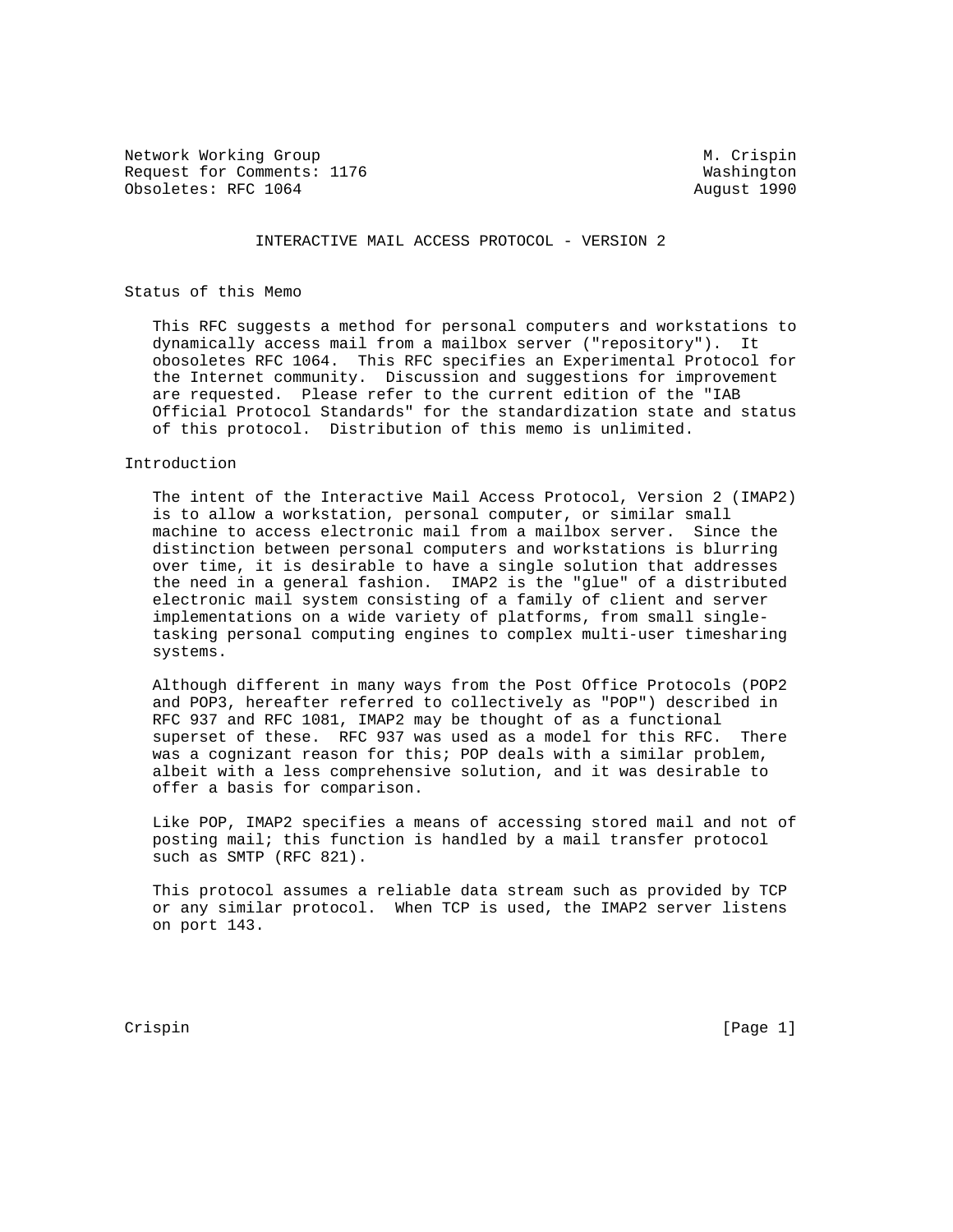Network Working Group Metwork Muslim Crispin Request for Comments: 1176 Washington Obsoletes: RFC 1064 **August 1990** August 1990

### INTERACTIVE MAIL ACCESS PROTOCOL - VERSION 2

# Status of this Memo

 This RFC suggests a method for personal computers and workstations to dynamically access mail from a mailbox server ("repository"). It obosoletes RFC 1064. This RFC specifies an Experimental Protocol for the Internet community. Discussion and suggestions for improvement are requested. Please refer to the current edition of the "IAB Official Protocol Standards" for the standardization state and status of this protocol. Distribution of this memo is unlimited.

### Introduction

 The intent of the Interactive Mail Access Protocol, Version 2 (IMAP2) is to allow a workstation, personal computer, or similar small machine to access electronic mail from a mailbox server. Since the distinction between personal computers and workstations is blurring over time, it is desirable to have a single solution that addresses the need in a general fashion. IMAP2 is the "glue" of a distributed electronic mail system consisting of a family of client and server implementations on a wide variety of platforms, from small single tasking personal computing engines to complex multi-user timesharing systems.

 Although different in many ways from the Post Office Protocols (POP2 and POP3, hereafter referred to collectively as "POP") described in RFC 937 and RFC 1081, IMAP2 may be thought of as a functional superset of these. RFC 937 was used as a model for this RFC. There was a cognizant reason for this; POP deals with a similar problem, albeit with a less comprehensive solution, and it was desirable to offer a basis for comparison.

 Like POP, IMAP2 specifies a means of accessing stored mail and not of posting mail; this function is handled by a mail transfer protocol such as SMTP (RFC 821).

 This protocol assumes a reliable data stream such as provided by TCP or any similar protocol. When TCP is used, the IMAP2 server listens on port 143.

Crispin [Page 1]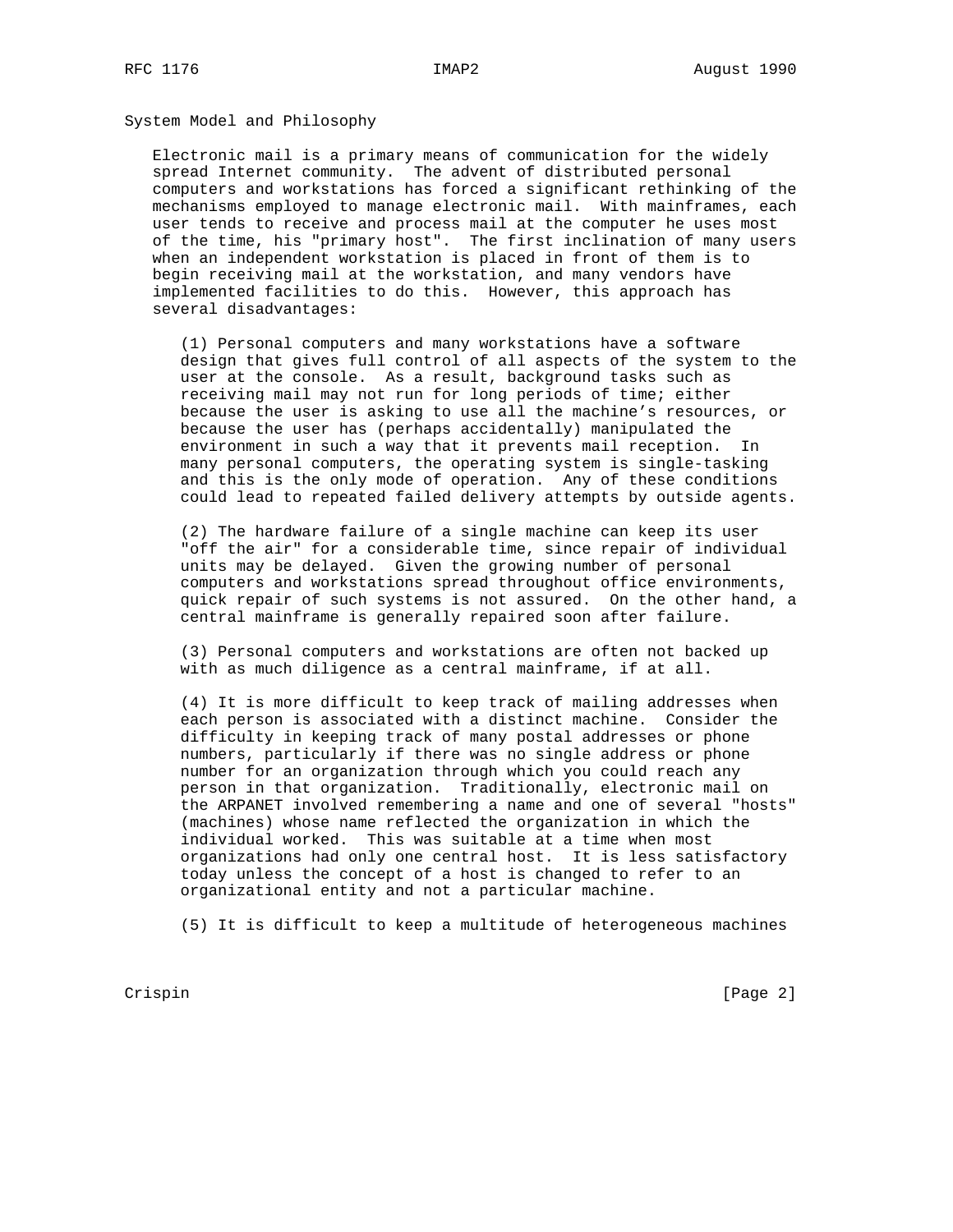System Model and Philosophy

 Electronic mail is a primary means of communication for the widely spread Internet community. The advent of distributed personal computers and workstations has forced a significant rethinking of the mechanisms employed to manage electronic mail. With mainframes, each user tends to receive and process mail at the computer he uses most of the time, his "primary host". The first inclination of many users when an independent workstation is placed in front of them is to begin receiving mail at the workstation, and many vendors have implemented facilities to do this. However, this approach has several disadvantages:

 (1) Personal computers and many workstations have a software design that gives full control of all aspects of the system to the user at the console. As a result, background tasks such as receiving mail may not run for long periods of time; either because the user is asking to use all the machine's resources, or because the user has (perhaps accidentally) manipulated the environment in such a way that it prevents mail reception. In many personal computers, the operating system is single-tasking and this is the only mode of operation. Any of these conditions could lead to repeated failed delivery attempts by outside agents.

 (2) The hardware failure of a single machine can keep its user "off the air" for a considerable time, since repair of individual units may be delayed. Given the growing number of personal computers and workstations spread throughout office environments, quick repair of such systems is not assured. On the other hand, a central mainframe is generally repaired soon after failure.

 (3) Personal computers and workstations are often not backed up with as much diligence as a central mainframe, if at all.

 (4) It is more difficult to keep track of mailing addresses when each person is associated with a distinct machine. Consider the difficulty in keeping track of many postal addresses or phone numbers, particularly if there was no single address or phone number for an organization through which you could reach any person in that organization. Traditionally, electronic mail on the ARPANET involved remembering a name and one of several "hosts" (machines) whose name reflected the organization in which the individual worked. This was suitable at a time when most organizations had only one central host. It is less satisfactory today unless the concept of a host is changed to refer to an organizational entity and not a particular machine.

(5) It is difficult to keep a multitude of heterogeneous machines

Crispin [Page 2]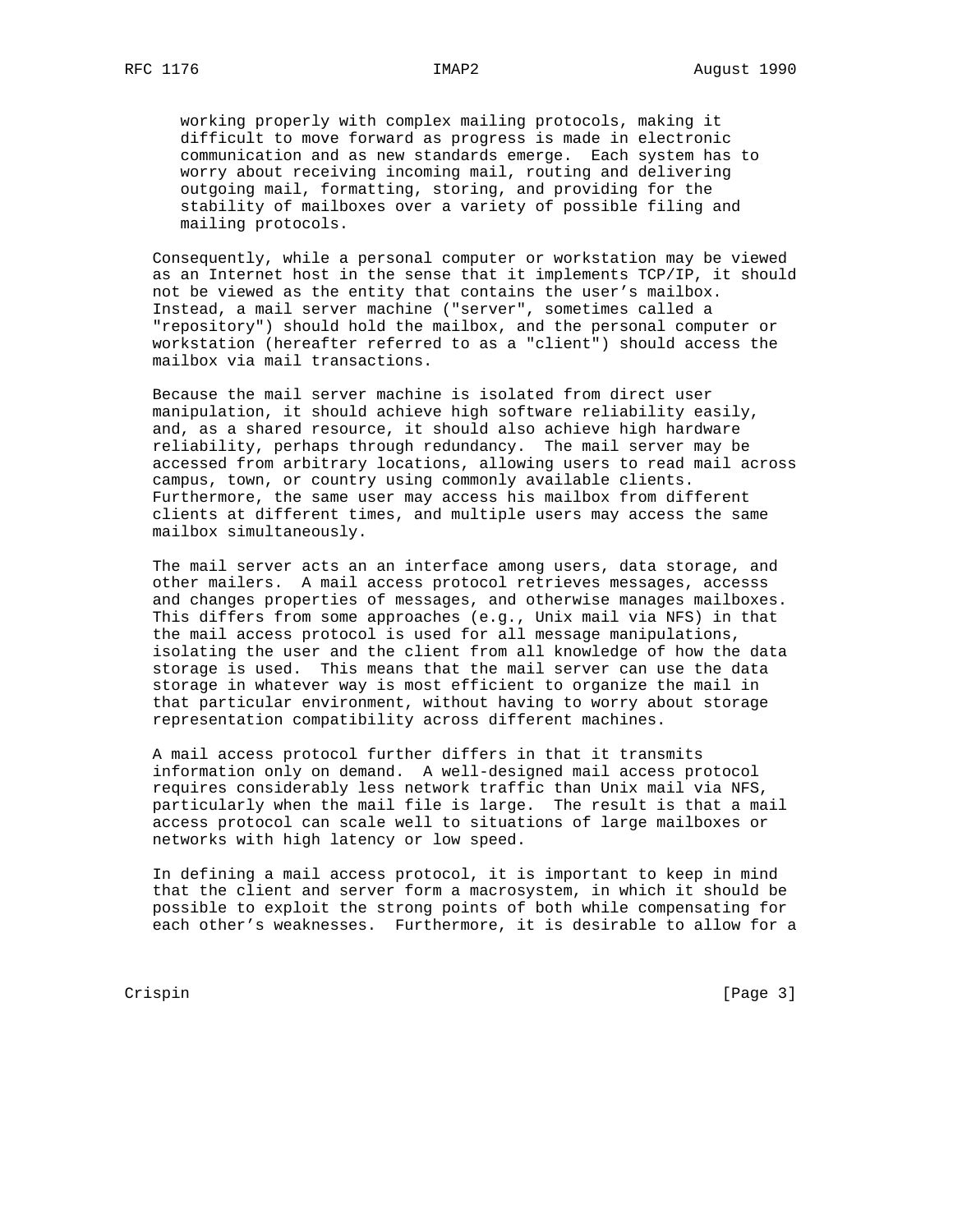working properly with complex mailing protocols, making it difficult to move forward as progress is made in electronic communication and as new standards emerge. Each system has to worry about receiving incoming mail, routing and delivering outgoing mail, formatting, storing, and providing for the stability of mailboxes over a variety of possible filing and mailing protocols.

 Consequently, while a personal computer or workstation may be viewed as an Internet host in the sense that it implements TCP/IP, it should not be viewed as the entity that contains the user's mailbox. Instead, a mail server machine ("server", sometimes called a "repository") should hold the mailbox, and the personal computer or workstation (hereafter referred to as a "client") should access the mailbox via mail transactions.

 Because the mail server machine is isolated from direct user manipulation, it should achieve high software reliability easily, and, as a shared resource, it should also achieve high hardware reliability, perhaps through redundancy. The mail server may be accessed from arbitrary locations, allowing users to read mail across campus, town, or country using commonly available clients. Furthermore, the same user may access his mailbox from different clients at different times, and multiple users may access the same mailbox simultaneously.

 The mail server acts an an interface among users, data storage, and other mailers. A mail access protocol retrieves messages, accesss and changes properties of messages, and otherwise manages mailboxes. This differs from some approaches (e.g., Unix mail via NFS) in that the mail access protocol is used for all message manipulations, isolating the user and the client from all knowledge of how the data storage is used. This means that the mail server can use the data storage in whatever way is most efficient to organize the mail in that particular environment, without having to worry about storage representation compatibility across different machines.

 A mail access protocol further differs in that it transmits information only on demand. A well-designed mail access protocol requires considerably less network traffic than Unix mail via NFS, particularly when the mail file is large. The result is that a mail access protocol can scale well to situations of large mailboxes or networks with high latency or low speed.

 In defining a mail access protocol, it is important to keep in mind that the client and server form a macrosystem, in which it should be possible to exploit the strong points of both while compensating for each other's weaknesses. Furthermore, it is desirable to allow for a

Crispin [Page 3]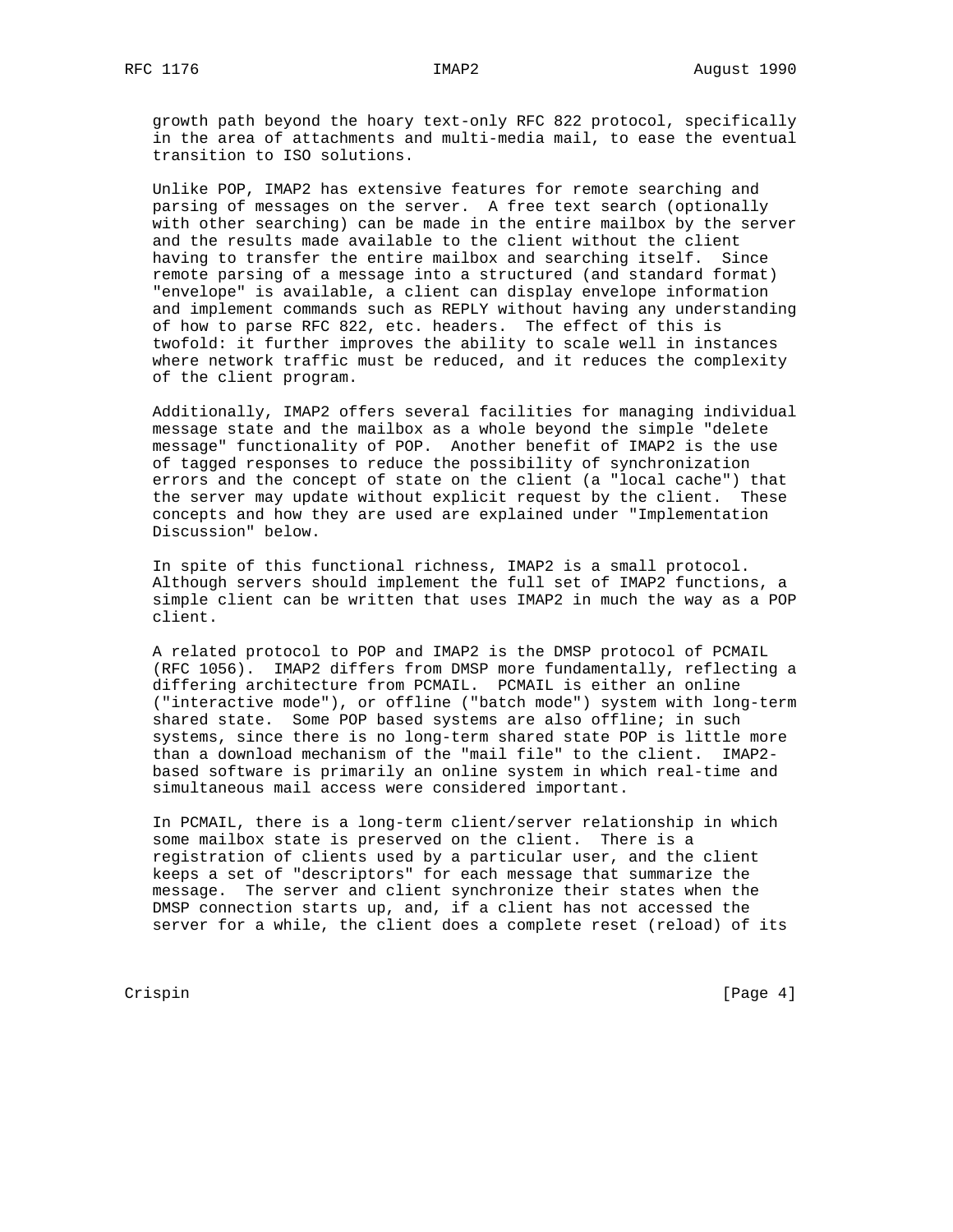growth path beyond the hoary text-only RFC 822 protocol, specifically in the area of attachments and multi-media mail, to ease the eventual transition to ISO solutions.

 Unlike POP, IMAP2 has extensive features for remote searching and parsing of messages on the server. A free text search (optionally with other searching) can be made in the entire mailbox by the server and the results made available to the client without the client having to transfer the entire mailbox and searching itself. Since remote parsing of a message into a structured (and standard format) "envelope" is available, a client can display envelope information and implement commands such as REPLY without having any understanding of how to parse RFC 822, etc. headers. The effect of this is twofold: it further improves the ability to scale well in instances where network traffic must be reduced, and it reduces the complexity of the client program.

 Additionally, IMAP2 offers several facilities for managing individual message state and the mailbox as a whole beyond the simple "delete message" functionality of POP. Another benefit of IMAP2 is the use of tagged responses to reduce the possibility of synchronization errors and the concept of state on the client (a "local cache") that the server may update without explicit request by the client. These concepts and how they are used are explained under "Implementation Discussion" below.

 In spite of this functional richness, IMAP2 is a small protocol. Although servers should implement the full set of IMAP2 functions, a simple client can be written that uses IMAP2 in much the way as a POP client.

 A related protocol to POP and IMAP2 is the DMSP protocol of PCMAIL (RFC 1056). IMAP2 differs from DMSP more fundamentally, reflecting a differing architecture from PCMAIL. PCMAIL is either an online ("interactive mode"), or offline ("batch mode") system with long-term shared state. Some POP based systems are also offline; in such systems, since there is no long-term shared state POP is little more than a download mechanism of the "mail file" to the client. IMAP2 based software is primarily an online system in which real-time and simultaneous mail access were considered important.

 In PCMAIL, there is a long-term client/server relationship in which some mailbox state is preserved on the client. There is a registration of clients used by a particular user, and the client keeps a set of "descriptors" for each message that summarize the message. The server and client synchronize their states when the DMSP connection starts up, and, if a client has not accessed the server for a while, the client does a complete reset (reload) of its

Crispin [Page 4]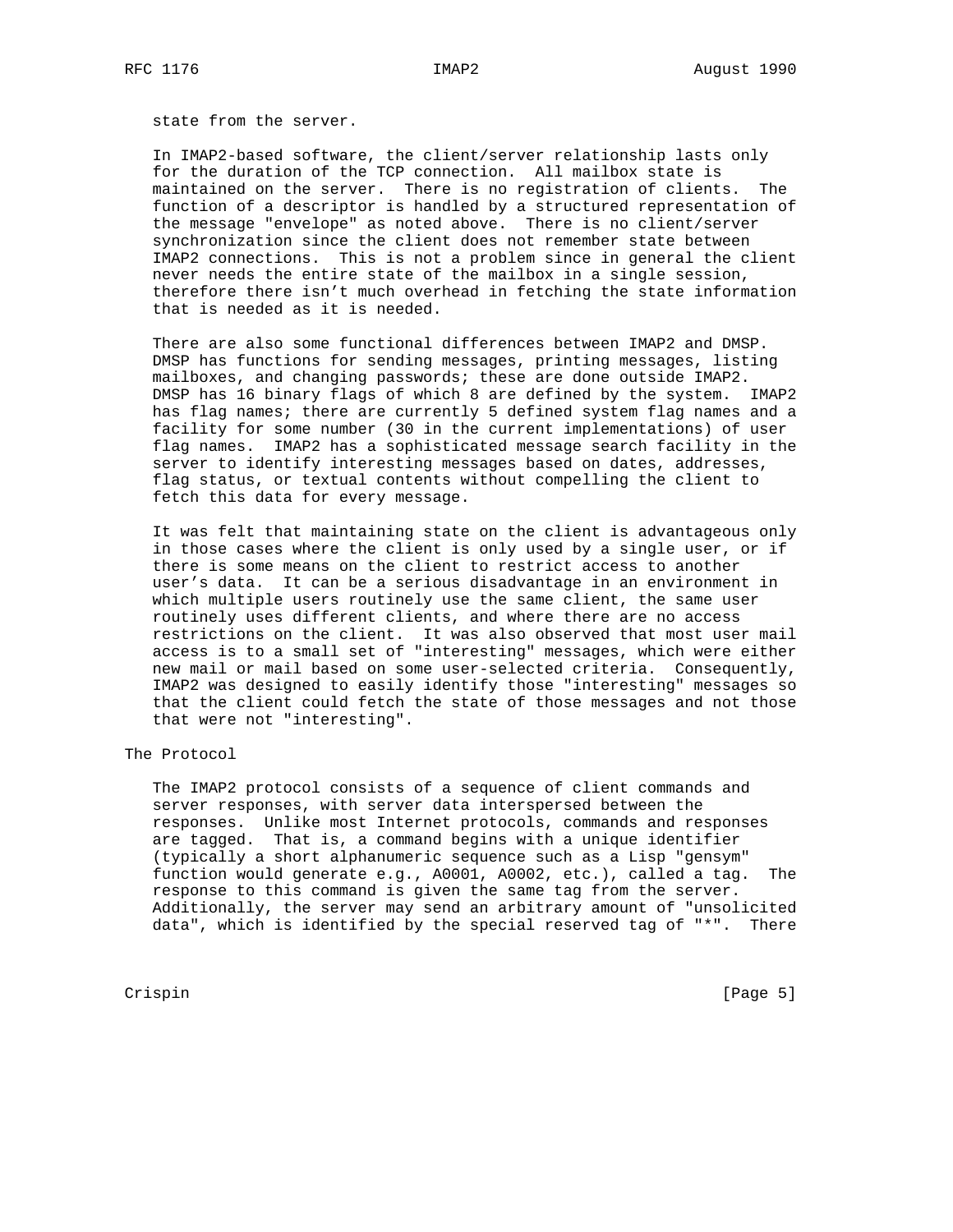state from the server.

 In IMAP2-based software, the client/server relationship lasts only for the duration of the TCP connection. All mailbox state is maintained on the server. There is no registration of clients. The function of a descriptor is handled by a structured representation of the message "envelope" as noted above. There is no client/server synchronization since the client does not remember state between IMAP2 connections. This is not a problem since in general the client never needs the entire state of the mailbox in a single session, therefore there isn't much overhead in fetching the state information that is needed as it is needed.

 There are also some functional differences between IMAP2 and DMSP. DMSP has functions for sending messages, printing messages, listing mailboxes, and changing passwords; these are done outside IMAP2. DMSP has 16 binary flags of which 8 are defined by the system. IMAP2 has flag names; there are currently 5 defined system flag names and a facility for some number (30 in the current implementations) of user flag names. IMAP2 has a sophisticated message search facility in the server to identify interesting messages based on dates, addresses, flag status, or textual contents without compelling the client to fetch this data for every message.

 It was felt that maintaining state on the client is advantageous only in those cases where the client is only used by a single user, or if there is some means on the client to restrict access to another user's data. It can be a serious disadvantage in an environment in which multiple users routinely use the same client, the same user routinely uses different clients, and where there are no access restrictions on the client. It was also observed that most user mail access is to a small set of "interesting" messages, which were either new mail or mail based on some user-selected criteria. Consequently, IMAP2 was designed to easily identify those "interesting" messages so that the client could fetch the state of those messages and not those that were not "interesting".

The Protocol

 The IMAP2 protocol consists of a sequence of client commands and server responses, with server data interspersed between the responses. Unlike most Internet protocols, commands and responses are tagged. That is, a command begins with a unique identifier (typically a short alphanumeric sequence such as a Lisp "gensym" function would generate e.g., A0001, A0002, etc.), called a tag. The response to this command is given the same tag from the server. Additionally, the server may send an arbitrary amount of "unsolicited data", which is identified by the special reserved tag of "\*". There

Crispin [Page 5]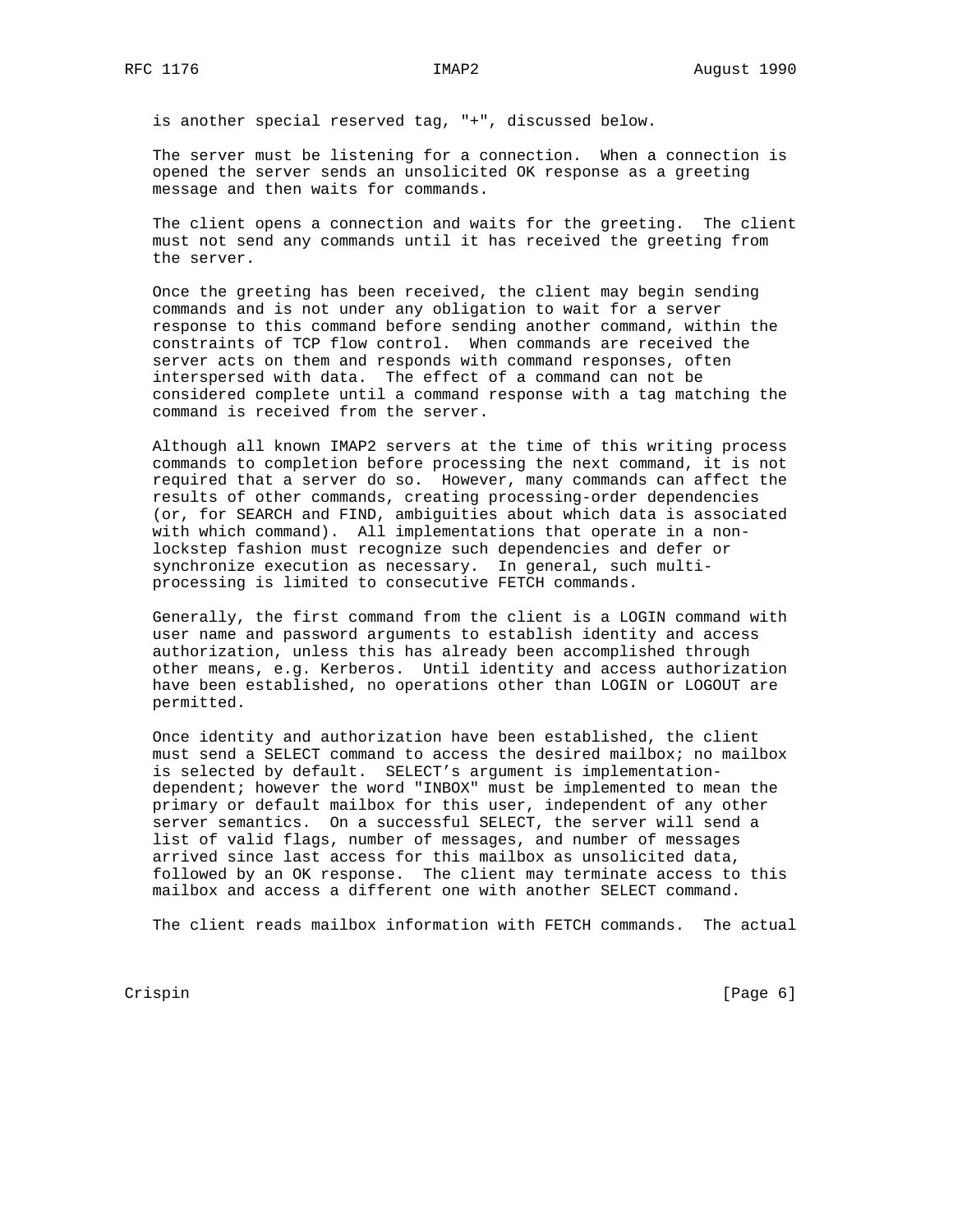is another special reserved tag, "+", discussed below.

 The server must be listening for a connection. When a connection is opened the server sends an unsolicited OK response as a greeting message and then waits for commands.

 The client opens a connection and waits for the greeting. The client must not send any commands until it has received the greeting from the server.

 Once the greeting has been received, the client may begin sending commands and is not under any obligation to wait for a server response to this command before sending another command, within the constraints of TCP flow control. When commands are received the server acts on them and responds with command responses, often interspersed with data. The effect of a command can not be considered complete until a command response with a tag matching the command is received from the server.

 Although all known IMAP2 servers at the time of this writing process commands to completion before processing the next command, it is not required that a server do so. However, many commands can affect the results of other commands, creating processing-order dependencies (or, for SEARCH and FIND, ambiguities about which data is associated with which command). All implementations that operate in a non lockstep fashion must recognize such dependencies and defer or synchronize execution as necessary. In general, such multi processing is limited to consecutive FETCH commands.

 Generally, the first command from the client is a LOGIN command with user name and password arguments to establish identity and access authorization, unless this has already been accomplished through other means, e.g. Kerberos. Until identity and access authorization have been established, no operations other than LOGIN or LOGOUT are permitted.

 Once identity and authorization have been established, the client must send a SELECT command to access the desired mailbox; no mailbox is selected by default. SELECT's argument is implementation dependent; however the word "INBOX" must be implemented to mean the primary or default mailbox for this user, independent of any other server semantics. On a successful SELECT, the server will send a list of valid flags, number of messages, and number of messages arrived since last access for this mailbox as unsolicited data, followed by an OK response. The client may terminate access to this mailbox and access a different one with another SELECT command.

The client reads mailbox information with FETCH commands. The actual

Crispin [Page 6]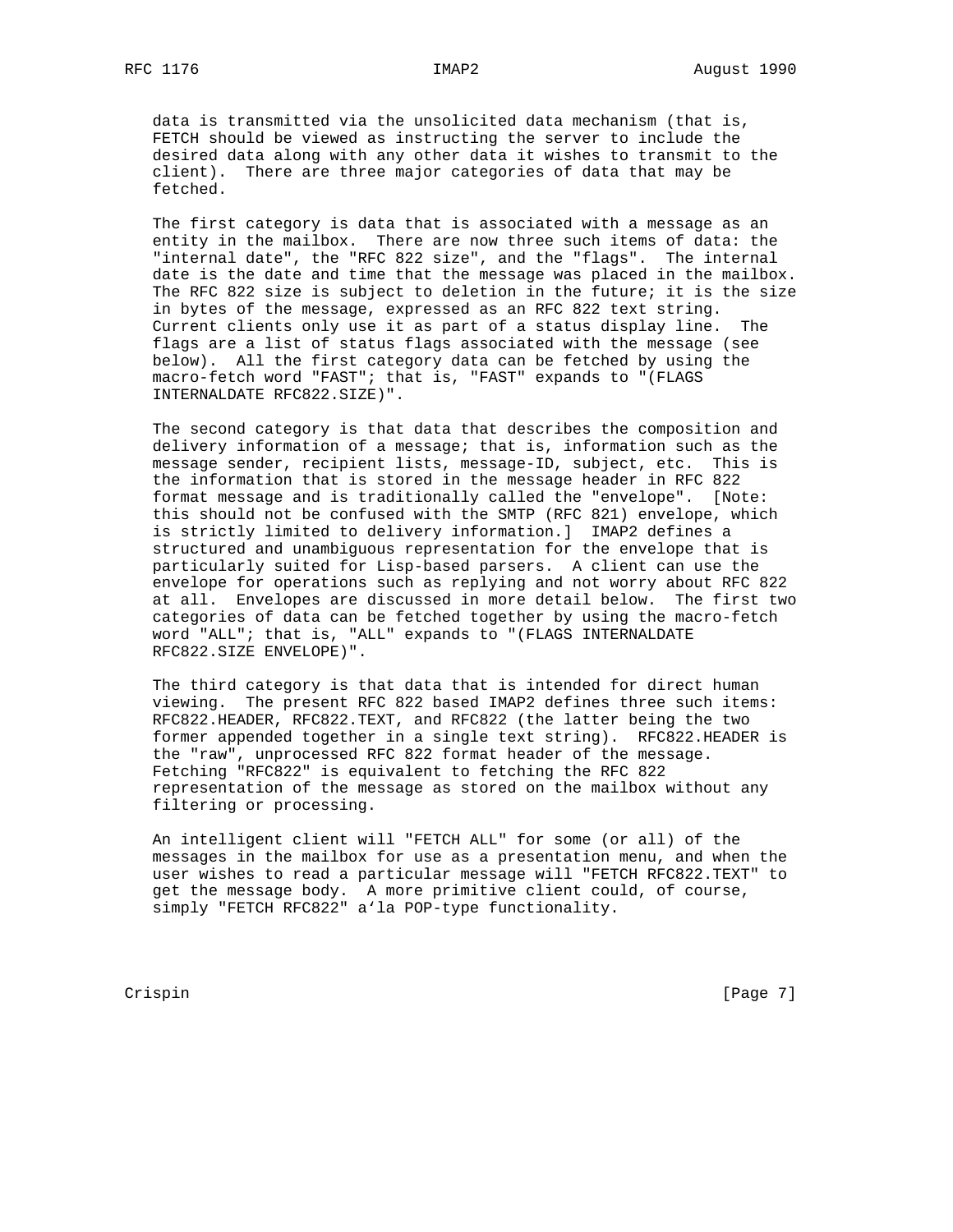data is transmitted via the unsolicited data mechanism (that is, FETCH should be viewed as instructing the server to include the desired data along with any other data it wishes to transmit to the client). There are three major categories of data that may be fetched.

 The first category is data that is associated with a message as an entity in the mailbox. There are now three such items of data: the "internal date", the "RFC 822 size", and the "flags". The internal date is the date and time that the message was placed in the mailbox. The RFC 822 size is subject to deletion in the future; it is the size in bytes of the message, expressed as an RFC 822 text string. Current clients only use it as part of a status display line. The flags are a list of status flags associated with the message (see below). All the first category data can be fetched by using the macro-fetch word "FAST"; that is, "FAST" expands to "(FLAGS INTERNALDATE RFC822.SIZE)".

 The second category is that data that describes the composition and delivery information of a message; that is, information such as the message sender, recipient lists, message-ID, subject, etc. This is the information that is stored in the message header in RFC 822 format message and is traditionally called the "envelope". [Note: this should not be confused with the SMTP (RFC 821) envelope, which is strictly limited to delivery information.] IMAP2 defines a structured and unambiguous representation for the envelope that is particularly suited for Lisp-based parsers. A client can use the envelope for operations such as replying and not worry about RFC 822 at all. Envelopes are discussed in more detail below. The first two categories of data can be fetched together by using the macro-fetch word "ALL"; that is, "ALL" expands to "(FLAGS INTERNALDATE RFC822.SIZE ENVELOPE)".

 The third category is that data that is intended for direct human viewing. The present RFC 822 based IMAP2 defines three such items: RFC822.HEADER, RFC822.TEXT, and RFC822 (the latter being the two former appended together in a single text string). RFC822.HEADER is the "raw", unprocessed RFC 822 format header of the message. Fetching "RFC822" is equivalent to fetching the RFC 822 representation of the message as stored on the mailbox without any filtering or processing.

 An intelligent client will "FETCH ALL" for some (or all) of the messages in the mailbox for use as a presentation menu, and when the user wishes to read a particular message will "FETCH RFC822.TEXT" to get the message body. A more primitive client could, of course, simply "FETCH RFC822" a'la POP-type functionality.

Crispin [Page 7]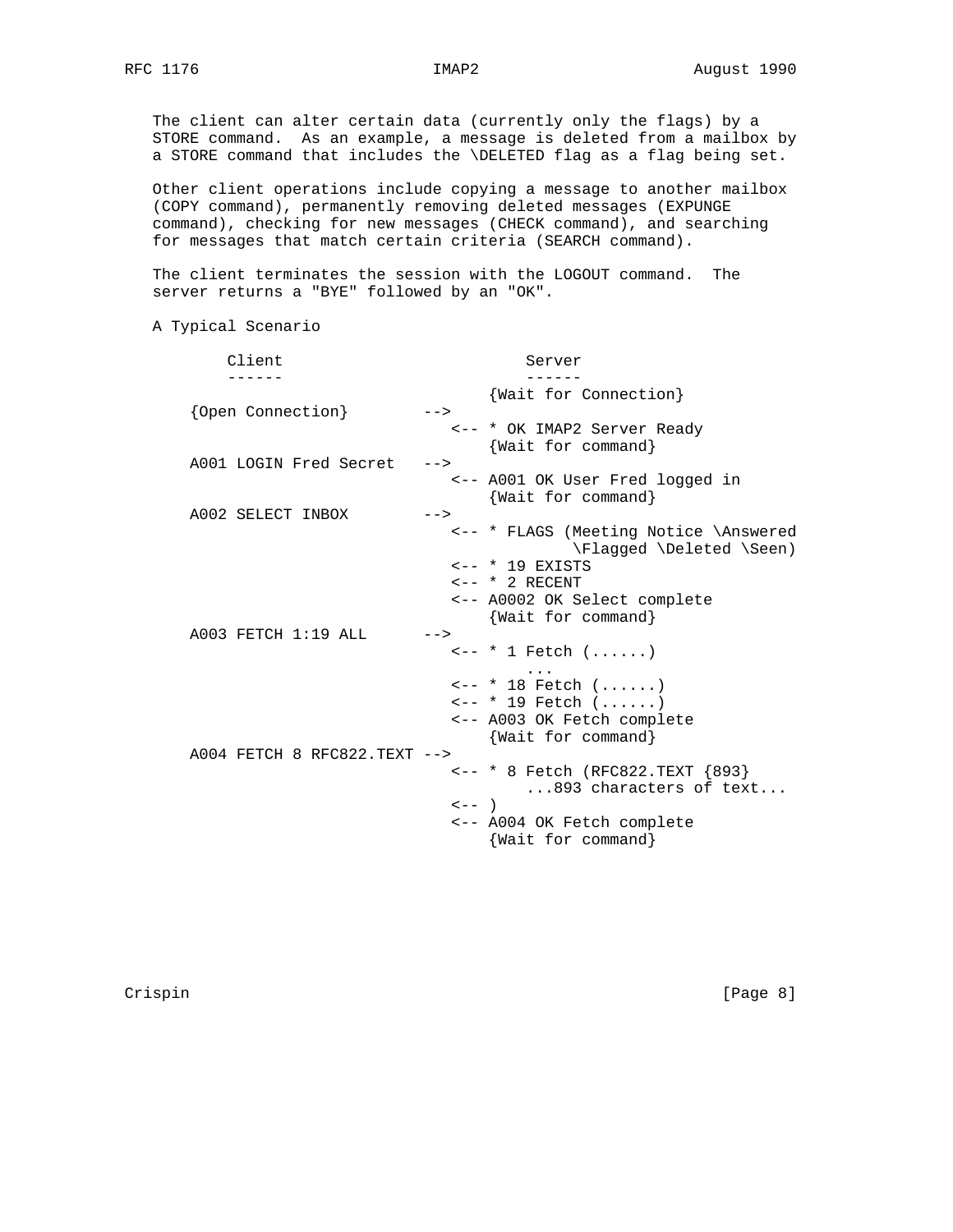The client can alter certain data (currently only the flags) by a STORE command. As an example, a message is deleted from a mailbox by a STORE command that includes the \DELETED flag as a flag being set.

 Other client operations include copying a message to another mailbox (COPY command), permanently removing deleted messages (EXPUNGE command), checking for new messages (CHECK command), and searching for messages that match certain criteria (SEARCH command).

 The client terminates the session with the LOGOUT command. The server returns a "BYE" followed by an "OK".

A Typical Scenario

| Client                       | Server                                                                                                                                                                                       |
|------------------------------|----------------------------------------------------------------------------------------------------------------------------------------------------------------------------------------------|
| {Open Connection}            | {Wait for Connection}<br>$--&>$                                                                                                                                                              |
|                              | <-- * OK IMAP2 Server Ready<br>{Wait for command}                                                                                                                                            |
| A001 LOGIN Fred Secret       | $--$<br><-- A001 OK User Fred logged in<br>{Wait for command}                                                                                                                                |
| A002 SELECT INBOX            | $--&>$<br><-- * FLAGS (Meeting Notice \Answered<br>\Flagged \Deleted \Seen)<br>$\leftarrow -$ * 19 EXISTS<br>$\leftarrow -$ * 2 RECENT<br><-- A0002 OK Select complete<br>{Wait for command} |
| A003 FETCH 1:19 ALL          | $--$<br>$\leftarrow -$ * 1 Fetch $( \ldots, \ldots)$<br>$\leftarrow -$ * 18 Fetch $( \ldots, \ldots)$<br>$\leftarrow -$ * 19 Fetch ()<br><-- A003 OK Fetch complete<br>{Wait for command}    |
| A004 FETCH 8 RFC822.TEXT --> | <-- * 8 Fetch (RFC822.TEXT {893}<br>893 characters of text<br>$\lt$ - $\lt$ )<br><-- A004 OK Fetch complete<br>Wait for command}                                                             |

Crispin [Page 8]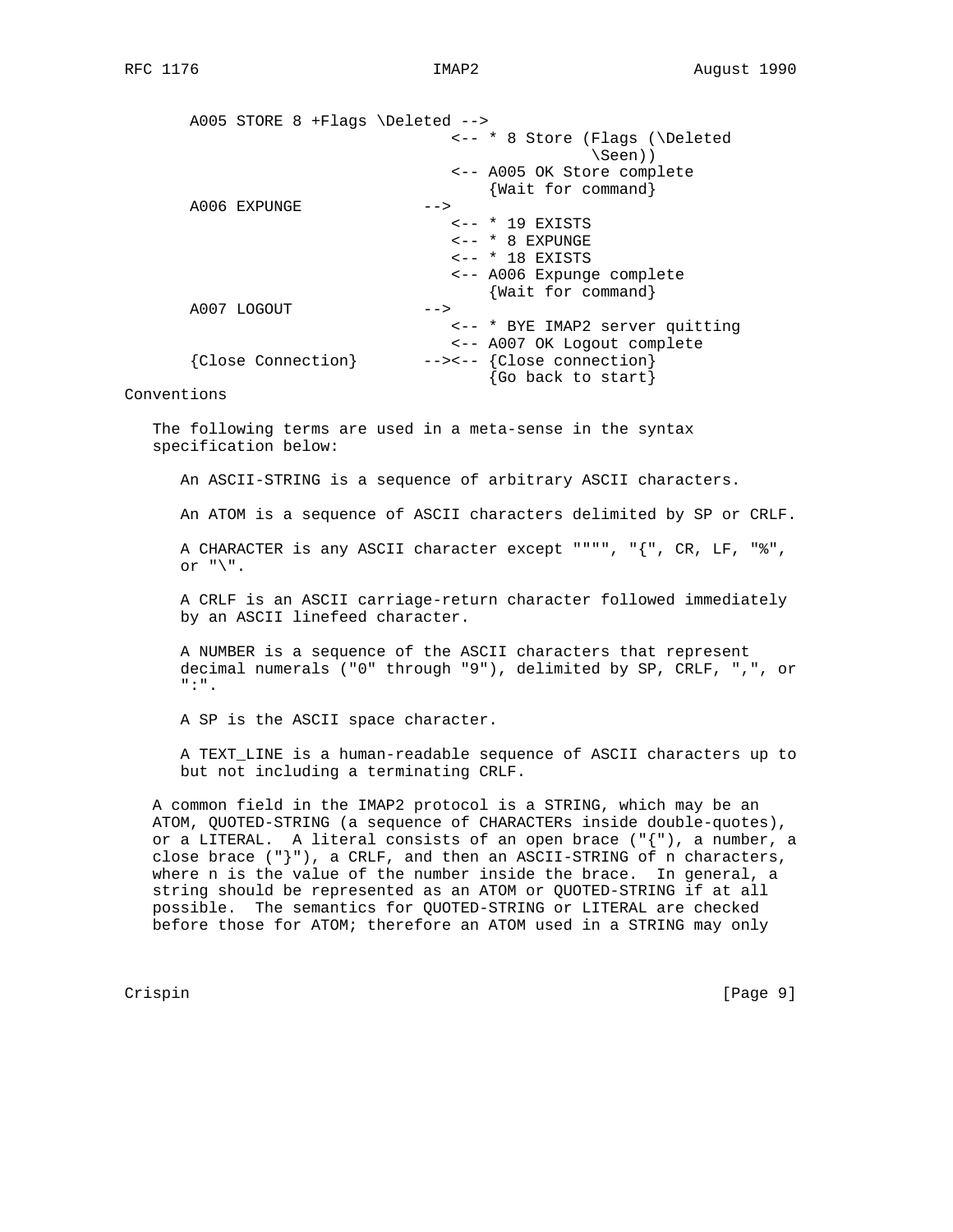A005 STORE 8 +Flags \Deleted --> <-- \* 8 Store (Flags (\Deleted \Seen)) <-- A005 OK Store complete {Wait for command} A006 EXPUNGE --> <-- \* 19 EXISTS <-- \* 8 EXPUNGE  $\leftarrow -$  \* 18 EXISTS <-- A006 Expunge complete {Wait for command} A007 LOGOUT --> <-- \* BYE IMAP2 server quitting <-- A007 OK Logout complete {Close Connection} --><-- {Close connection} {Go back to start}

Conventions

 The following terms are used in a meta-sense in the syntax specification below:

An ASCII-STRING is a sequence of arbitrary ASCII characters.

An ATOM is a sequence of ASCII characters delimited by SP or CRLF.

 A CHARACTER is any ASCII character except """", "{", CR, LF, "%", or  $"\rangle"$ .

 A CRLF is an ASCII carriage-return character followed immediately by an ASCII linefeed character.

 A NUMBER is a sequence of the ASCII characters that represent decimal numerals ("0" through "9"), delimited by SP, CRLF, ",", or ":".

A SP is the ASCII space character.

 A TEXT\_LINE is a human-readable sequence of ASCII characters up to but not including a terminating CRLF.

 A common field in the IMAP2 protocol is a STRING, which may be an ATOM, QUOTED-STRING (a sequence of CHARACTERs inside double-quotes), or a LITERAL. A literal consists of an open brace ("{"), a number, a close brace  $(\nabla \cdot \mathbf{R})^*$ , a CRLF, and then an ASCII-STRING of n characters, where n is the value of the number inside the brace. In general, a string should be represented as an ATOM or QUOTED-STRING if at all possible. The semantics for QUOTED-STRING or LITERAL are checked before those for ATOM; therefore an ATOM used in a STRING may only

Crispin [Page 9]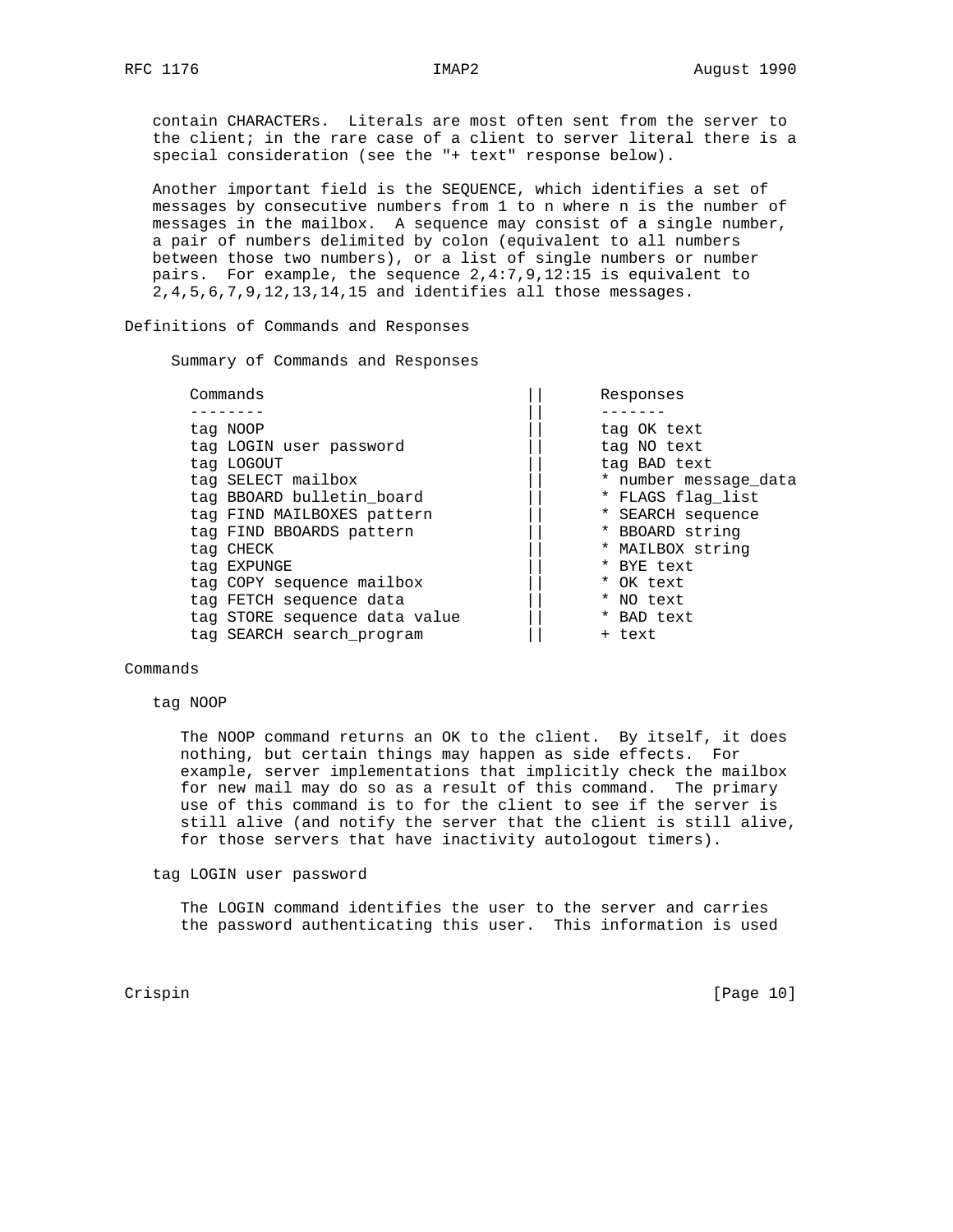contain CHARACTERs. Literals are most often sent from the server to the client; in the rare case of a client to server literal there is a special consideration (see the "+ text" response below).

 Another important field is the SEQUENCE, which identifies a set of messages by consecutive numbers from 1 to n where n is the number of messages in the mailbox. A sequence may consist of a single number, a pair of numbers delimited by colon (equivalent to all numbers between those two numbers), or a list of single numbers or number pairs. For example, the sequence 2,4:7,9,12:15 is equivalent to 2,4,5,6,7,9,12,13,14,15 and identifies all those messages.

Definitions of Commands and Responses

Summary of Commands and Responses

| tag NOOP<br>tag OK text<br>tag LOGIN user password<br>tag NO text<br>tag LOGOUT<br>tag BAD text<br>tag SELECT mailbox<br>tag BBOARD bulletin board<br>* FLAGS flag list<br>tag FIND MAILBOXES pattern<br>* SEARCH sequence<br>* BBOARD string<br>tag FIND BBOARDS pattern<br>* MAILBOX string<br>tag CHECK<br>* BYE text<br>tag EXPUNGE<br>tag COPY sequence mailbox<br>* OK text<br>tag FETCH sequence data<br>* NO text<br>tag STORE sequence data value<br>* BAD text<br>tag SEARCH search program<br>+ text | Commands | Responses             |
|-----------------------------------------------------------------------------------------------------------------------------------------------------------------------------------------------------------------------------------------------------------------------------------------------------------------------------------------------------------------------------------------------------------------------------------------------------------------------------------------------------------------|----------|-----------------------|
|                                                                                                                                                                                                                                                                                                                                                                                                                                                                                                                 |          |                       |
|                                                                                                                                                                                                                                                                                                                                                                                                                                                                                                                 |          |                       |
|                                                                                                                                                                                                                                                                                                                                                                                                                                                                                                                 |          |                       |
|                                                                                                                                                                                                                                                                                                                                                                                                                                                                                                                 |          |                       |
|                                                                                                                                                                                                                                                                                                                                                                                                                                                                                                                 |          | * number message_data |
|                                                                                                                                                                                                                                                                                                                                                                                                                                                                                                                 |          |                       |
|                                                                                                                                                                                                                                                                                                                                                                                                                                                                                                                 |          |                       |
|                                                                                                                                                                                                                                                                                                                                                                                                                                                                                                                 |          |                       |
|                                                                                                                                                                                                                                                                                                                                                                                                                                                                                                                 |          |                       |
|                                                                                                                                                                                                                                                                                                                                                                                                                                                                                                                 |          |                       |
|                                                                                                                                                                                                                                                                                                                                                                                                                                                                                                                 |          |                       |
|                                                                                                                                                                                                                                                                                                                                                                                                                                                                                                                 |          |                       |
|                                                                                                                                                                                                                                                                                                                                                                                                                                                                                                                 |          |                       |
|                                                                                                                                                                                                                                                                                                                                                                                                                                                                                                                 |          |                       |

### Commands

tag NOOP

 The NOOP command returns an OK to the client. By itself, it does nothing, but certain things may happen as side effects. For example, server implementations that implicitly check the mailbox for new mail may do so as a result of this command. The primary use of this command is to for the client to see if the server is still alive (and notify the server that the client is still alive, for those servers that have inactivity autologout timers).

#### tag LOGIN user password

 The LOGIN command identifies the user to the server and carries the password authenticating this user. This information is used

Crispin [Page 10]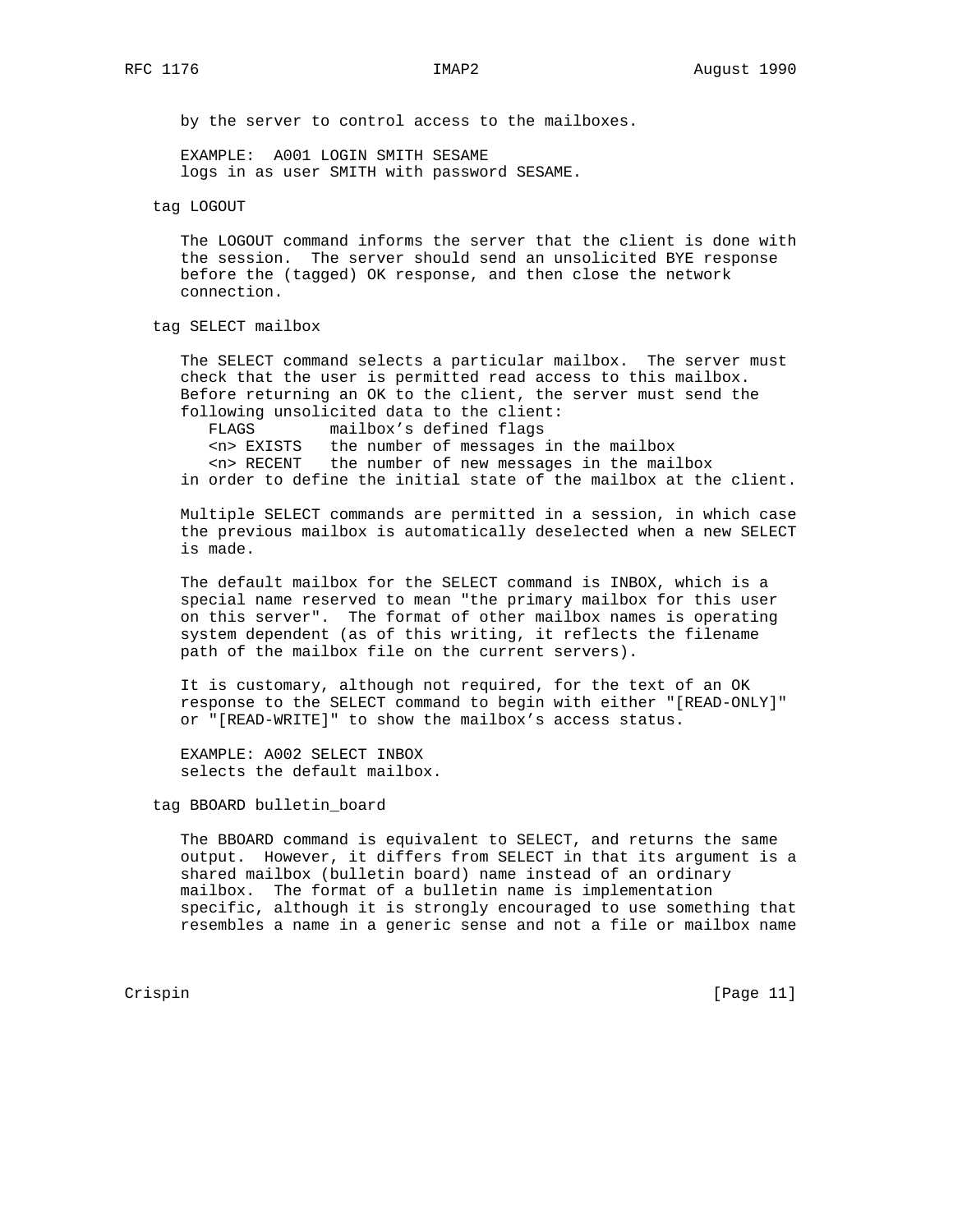by the server to control access to the mailboxes.

 EXAMPLE: A001 LOGIN SMITH SESAME logs in as user SMITH with password SESAME.

tag LOGOUT

 The LOGOUT command informs the server that the client is done with the session. The server should send an unsolicited BYE response before the (tagged) OK response, and then close the network connection.

tag SELECT mailbox

 The SELECT command selects a particular mailbox. The server must check that the user is permitted read access to this mailbox. Before returning an OK to the client, the server must send the following unsolicited data to the client:

FLAGS mailbox's defined flags

 <n> EXISTS the number of messages in the mailbox <n> RECENT the number of new messages in the mailbox in order to define the initial state of the mailbox at the client.

 Multiple SELECT commands are permitted in a session, in which case the previous mailbox is automatically deselected when a new SELECT is made.

 The default mailbox for the SELECT command is INBOX, which is a special name reserved to mean "the primary mailbox for this user on this server". The format of other mailbox names is operating system dependent (as of this writing, it reflects the filename path of the mailbox file on the current servers).

 It is customary, although not required, for the text of an OK response to the SELECT command to begin with either "[READ-ONLY]" or "[READ-WRITE]" to show the mailbox's access status.

 EXAMPLE: A002 SELECT INBOX selects the default mailbox.

# tag BBOARD bulletin\_board

 The BBOARD command is equivalent to SELECT, and returns the same output. However, it differs from SELECT in that its argument is a shared mailbox (bulletin board) name instead of an ordinary mailbox. The format of a bulletin name is implementation specific, although it is strongly encouraged to use something that resembles a name in a generic sense and not a file or mailbox name

Crispin [Page 11]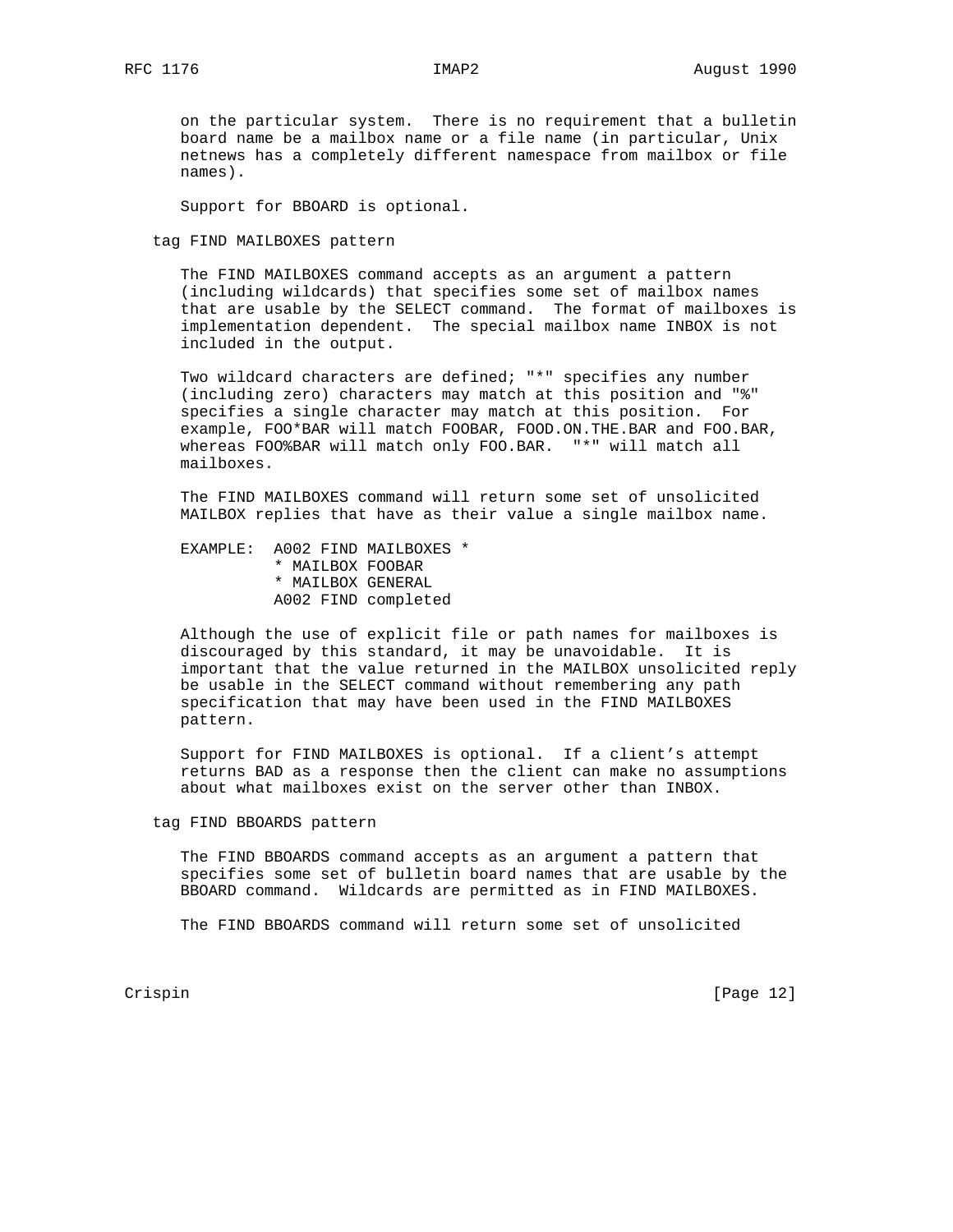on the particular system. There is no requirement that a bulletin board name be a mailbox name or a file name (in particular, Unix netnews has a completely different namespace from mailbox or file names).

Support for BBOARD is optional.

tag FIND MAILBOXES pattern

 The FIND MAILBOXES command accepts as an argument a pattern (including wildcards) that specifies some set of mailbox names that are usable by the SELECT command. The format of mailboxes is implementation dependent. The special mailbox name INBOX is not included in the output.

 Two wildcard characters are defined; "\*" specifies any number (including zero) characters may match at this position and "%" specifies a single character may match at this position. For example, FOO\*BAR will match FOOBAR, FOOD.ON.THE.BAR and FOO.BAR, whereas FOO%BAR will match only FOO.BAR. "\*" will match all mailboxes.

 The FIND MAILBOXES command will return some set of unsolicited MAILBOX replies that have as their value a single mailbox name.

 EXAMPLE: A002 FIND MAILBOXES \* \* MAILBOX FOOBAR \* MAILBOX GENERAL A002 FIND completed

 Although the use of explicit file or path names for mailboxes is discouraged by this standard, it may be unavoidable. It is important that the value returned in the MAILBOX unsolicited reply be usable in the SELECT command without remembering any path specification that may have been used in the FIND MAILBOXES pattern.

 Support for FIND MAILBOXES is optional. If a client's attempt returns BAD as a response then the client can make no assumptions about what mailboxes exist on the server other than INBOX.

tag FIND BBOARDS pattern

 The FIND BBOARDS command accepts as an argument a pattern that specifies some set of bulletin board names that are usable by the BBOARD command. Wildcards are permitted as in FIND MAILBOXES.

The FIND BBOARDS command will return some set of unsolicited

Crispin [Page 12]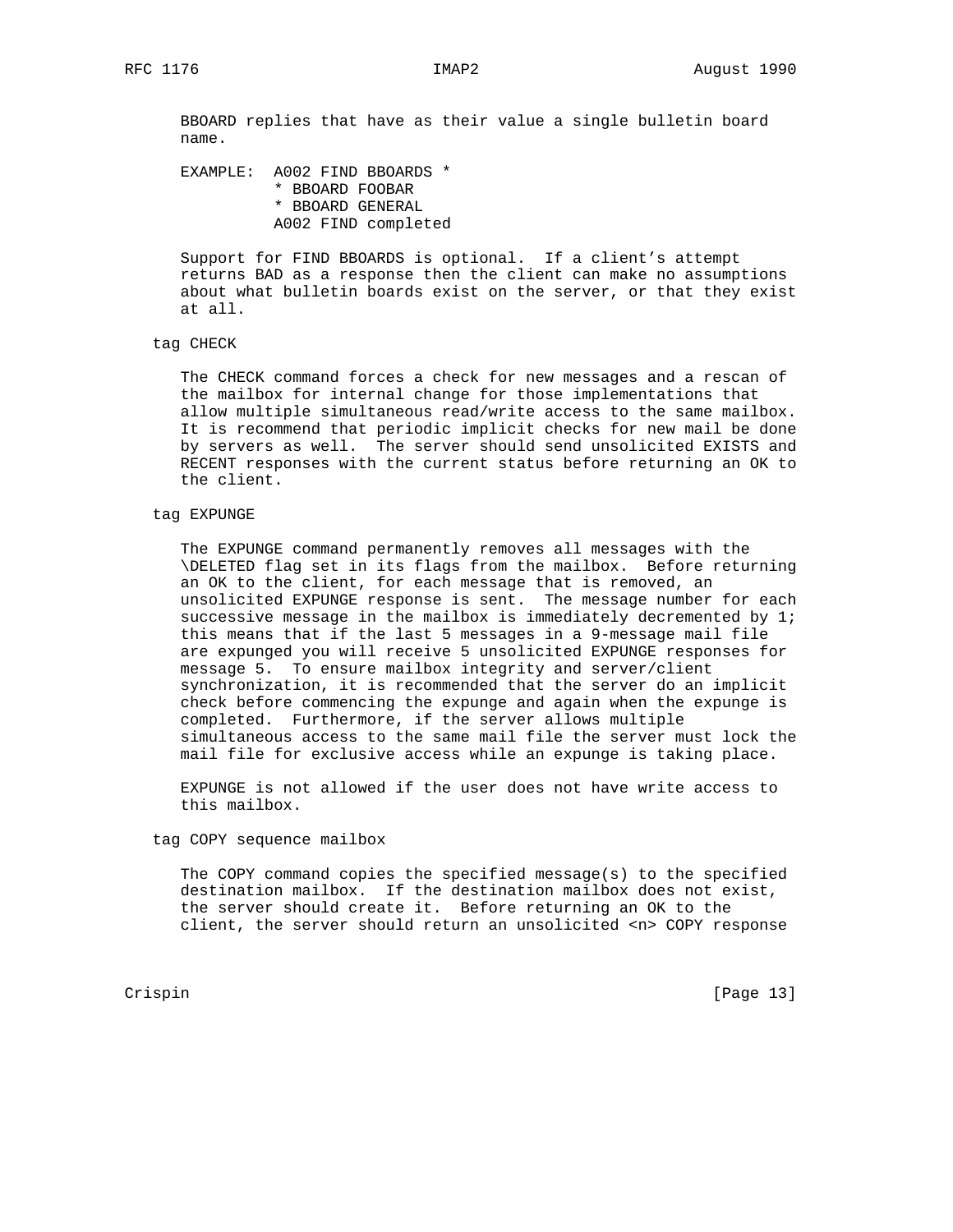BBOARD replies that have as their value a single bulletin board name.

 EXAMPLE: A002 FIND BBOARDS \* \* BBOARD FOOBAR \* BBOARD GENERAL A002 FIND completed

 Support for FIND BBOARDS is optional. If a client's attempt returns BAD as a response then the client can make no assumptions about what bulletin boards exist on the server, or that they exist at all.

# tag CHECK

 The CHECK command forces a check for new messages and a rescan of the mailbox for internal change for those implementations that allow multiple simultaneous read/write access to the same mailbox. It is recommend that periodic implicit checks for new mail be done by servers as well. The server should send unsolicited EXISTS and RECENT responses with the current status before returning an OK to the client.

# tag EXPUNGE

 The EXPUNGE command permanently removes all messages with the \DELETED flag set in its flags from the mailbox. Before returning an OK to the client, for each message that is removed, an unsolicited EXPUNGE response is sent. The message number for each successive message in the mailbox is immediately decremented by  $1$ ; this means that if the last 5 messages in a 9-message mail file are expunged you will receive 5 unsolicited EXPUNGE responses for message 5. To ensure mailbox integrity and server/client synchronization, it is recommended that the server do an implicit check before commencing the expunge and again when the expunge is completed. Furthermore, if the server allows multiple simultaneous access to the same mail file the server must lock the mail file for exclusive access while an expunge is taking place.

 EXPUNGE is not allowed if the user does not have write access to this mailbox.

#### tag COPY sequence mailbox

 The COPY command copies the specified message(s) to the specified destination mailbox. If the destination mailbox does not exist, the server should create it. Before returning an OK to the client, the server should return an unsolicited <n> COPY response

Crispin [Page 13]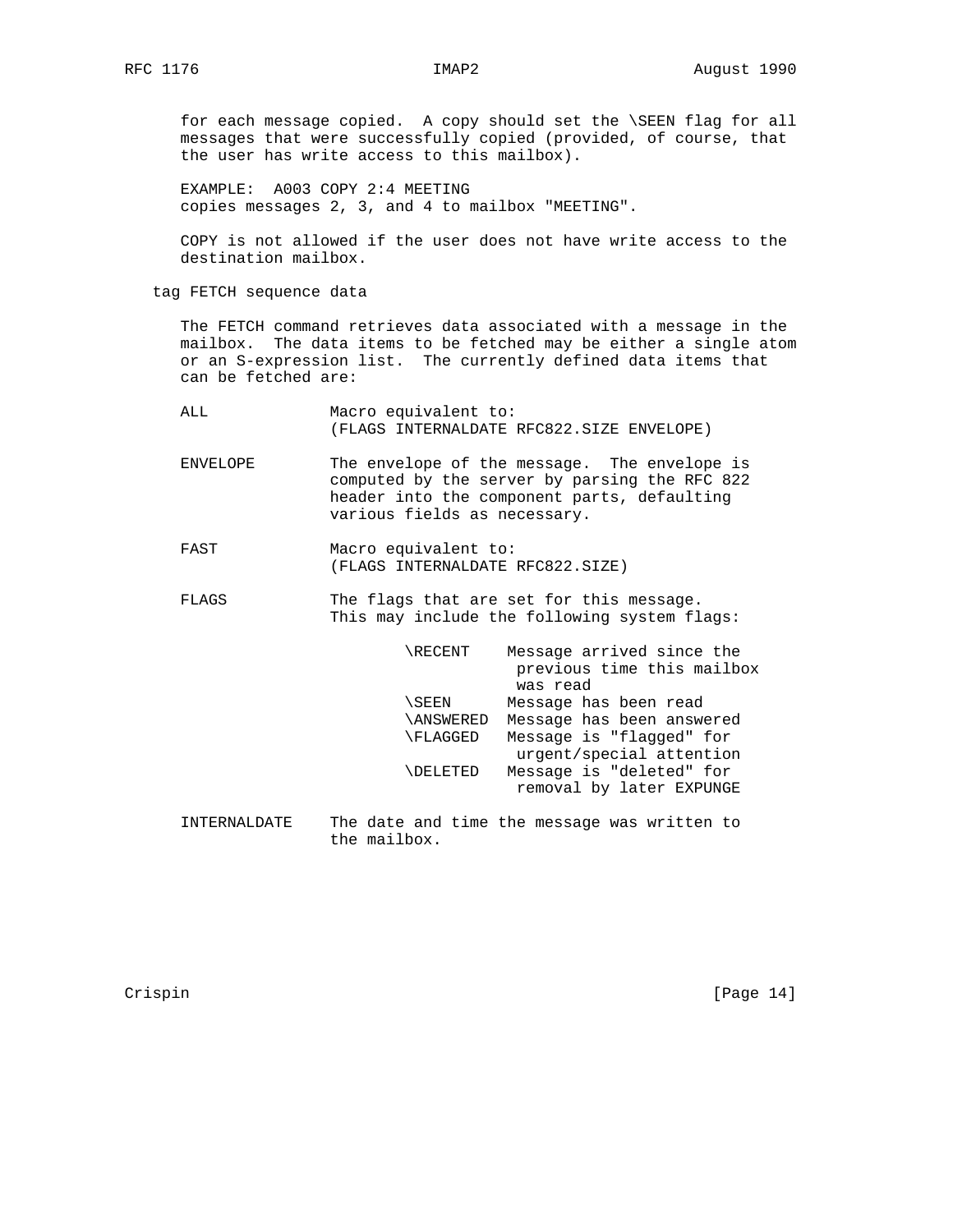for each message copied. A copy should set the \SEEN flag for all messages that were successfully copied (provided, of course, that the user has write access to this mailbox).

 EXAMPLE: A003 COPY 2:4 MEETING copies messages 2, 3, and 4 to mailbox "MEETING".

 COPY is not allowed if the user does not have write access to the destination mailbox.

tag FETCH sequence data

 The FETCH command retrieves data associated with a message in the mailbox. The data items to be fetched may be either a single atom or an S-expression list. The currently defined data items that can be fetched are:

- ALL Macro equivalent to: (FLAGS INTERNALDATE RFC822.SIZE ENVELOPE)
- ENVELOPE The envelope of the message. The envelope is computed by the server by parsing the RFC 822 header into the component parts, defaulting various fields as necessary.
- FAST Macro equivalent to: (FLAGS INTERNALDATE RFC822.SIZE)
- FLAGS The flags that are set for this message. This may include the following system flags:

| <b>\RECENT</b>  | Message arrived since the<br>previous time this mailbox<br>was read |
|-----------------|---------------------------------------------------------------------|
| \SEEN           | Message has been read                                               |
| \ANSWERED       | Message has been answered                                           |
| \FLAGGED        | Message is "flagged" for<br>urgent/special attention                |
| <b>NDELETED</b> | Message is "deleted" for<br>removal by later EXPUNGE                |
|                 |                                                                     |

 INTERNALDATE The date and time the message was written to the mailbox.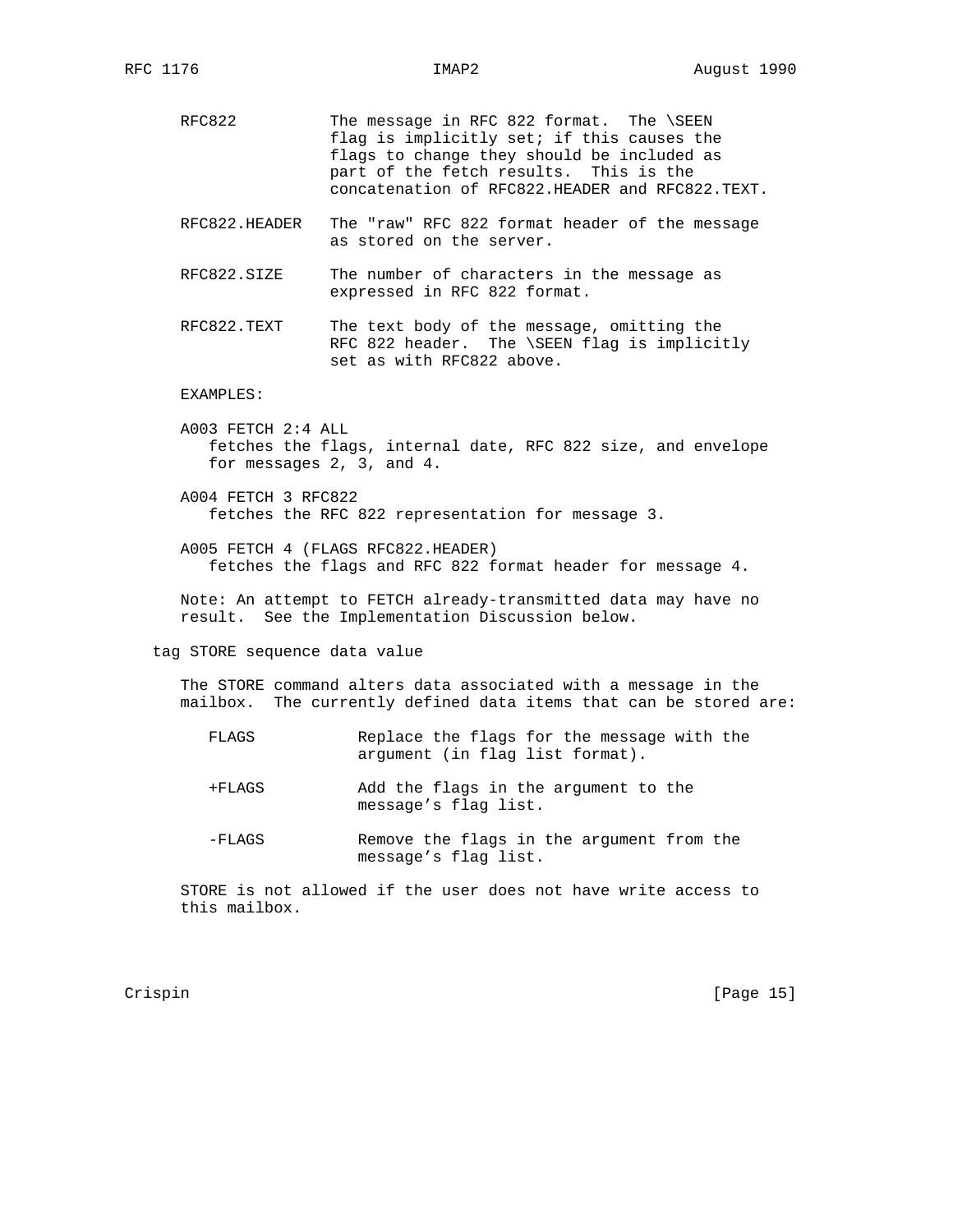- RFC822 The message in RFC 822 format. The \SEEN flag is implicitly set; if this causes the flags to change they should be included as part of the fetch results. This is the concatenation of RFC822.HEADER and RFC822.TEXT.
- RFC822.HEADER The "raw" RFC 822 format header of the message as stored on the server.
- RFC822.SIZE The number of characters in the message as expressed in RFC 822 format.
- RFC822.TEXT The text body of the message, omitting the RFC 822 header. The \SEEN flag is implicitly set as with RFC822 above.

### EXAMPLES:

- A003 FETCH 2:4 ALL fetches the flags, internal date, RFC 822 size, and envelope for messages 2, 3, and 4.
- A004 FETCH 3 RFC822 fetches the RFC 822 representation for message 3.
- A005 FETCH 4 (FLAGS RFC822.HEADER) fetches the flags and RFC 822 format header for message 4.

 Note: An attempt to FETCH already-transmitted data may have no result. See the Implementation Discussion below.

tag STORE sequence data value

 The STORE command alters data associated with a message in the mailbox. The currently defined data items that can be stored are:

- FLAGS Replace the flags for the message with the argument (in flag list format).
- +FLAGS Add the flags in the argument to the message's flag list.
- -FLAGS Remove the flags in the argument from the message's flag list.

 STORE is not allowed if the user does not have write access to this mailbox.

Crispin [Page 15]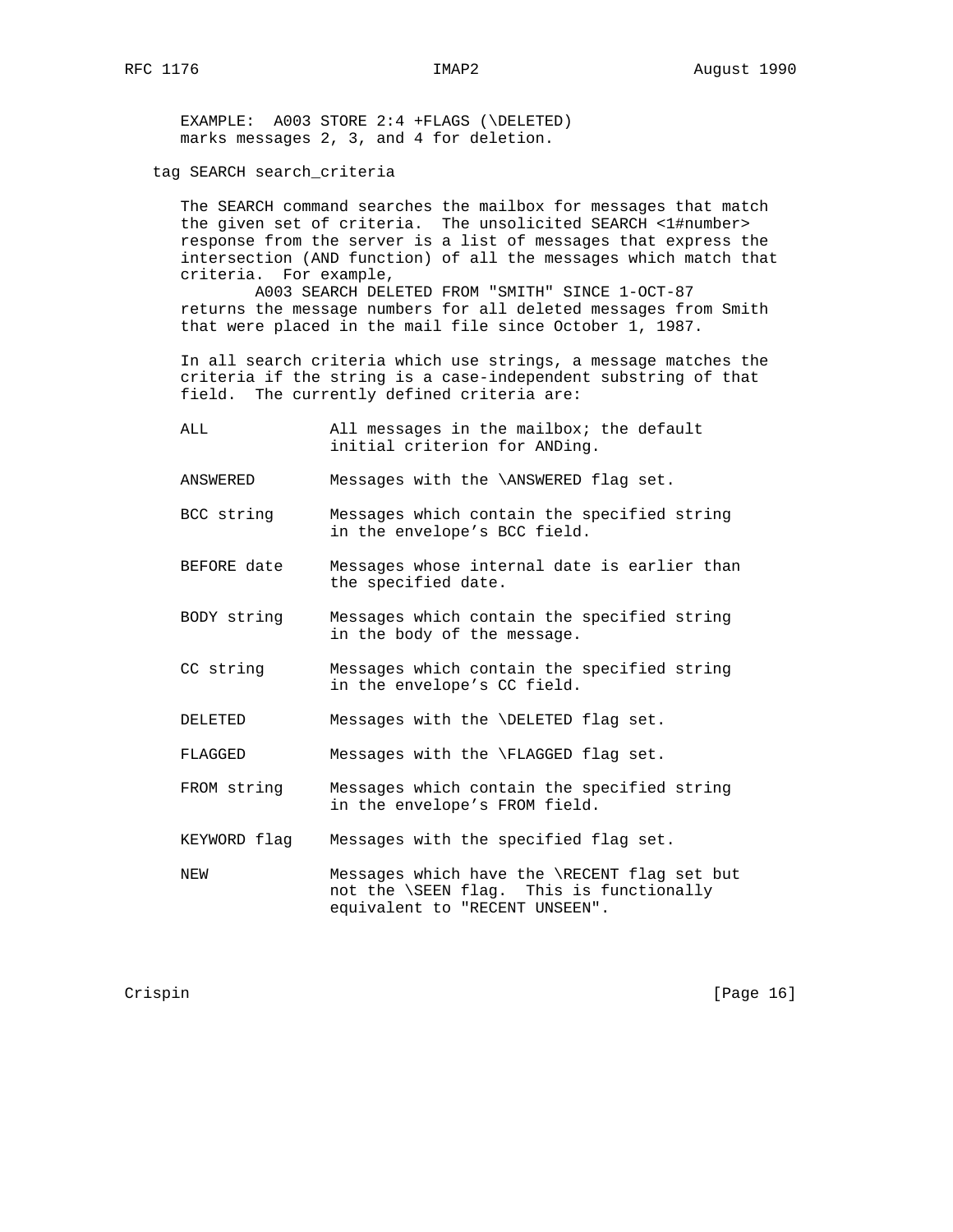EXAMPLE: A003 STORE 2:4 +FLAGS (\DELETED) marks messages 2, 3, and 4 for deletion.

# tag SEARCH search\_criteria

 The SEARCH command searches the mailbox for messages that match the given set of criteria. The unsolicited SEARCH <1#number> response from the server is a list of messages that express the intersection (AND function) of all the messages which match that criteria. For example,

 A003 SEARCH DELETED FROM "SMITH" SINCE 1-OCT-87 returns the message numbers for all deleted messages from Smith that were placed in the mail file since October 1, 1987.

 In all search criteria which use strings, a message matches the criteria if the string is a case-independent substring of that field. The currently defined criteria are:

 ALL All messages in the mailbox; the default initial criterion for ANDing.

ANSWERED Messages with the \ANSWERED flag set.

- BCC string Messages which contain the specified string in the envelope's BCC field.
- BEFORE date Messages whose internal date is earlier than the specified date.
- BODY string Messages which contain the specified string in the body of the message.
- CC string Messages which contain the specified string in the envelope's CC field.
- DELETED Messages with the \DELETED flag set.
- FLAGGED Messages with the \FLAGGED flag set.
- FROM string Messages which contain the specified string in the envelope's FROM field.
- KEYWORD flag Messages with the specified flag set.
- NEW Messages which have the \RECENT flag set but not the \SEEN flag. This is functionally equivalent to "RECENT UNSEEN".

Crispin [Page 16]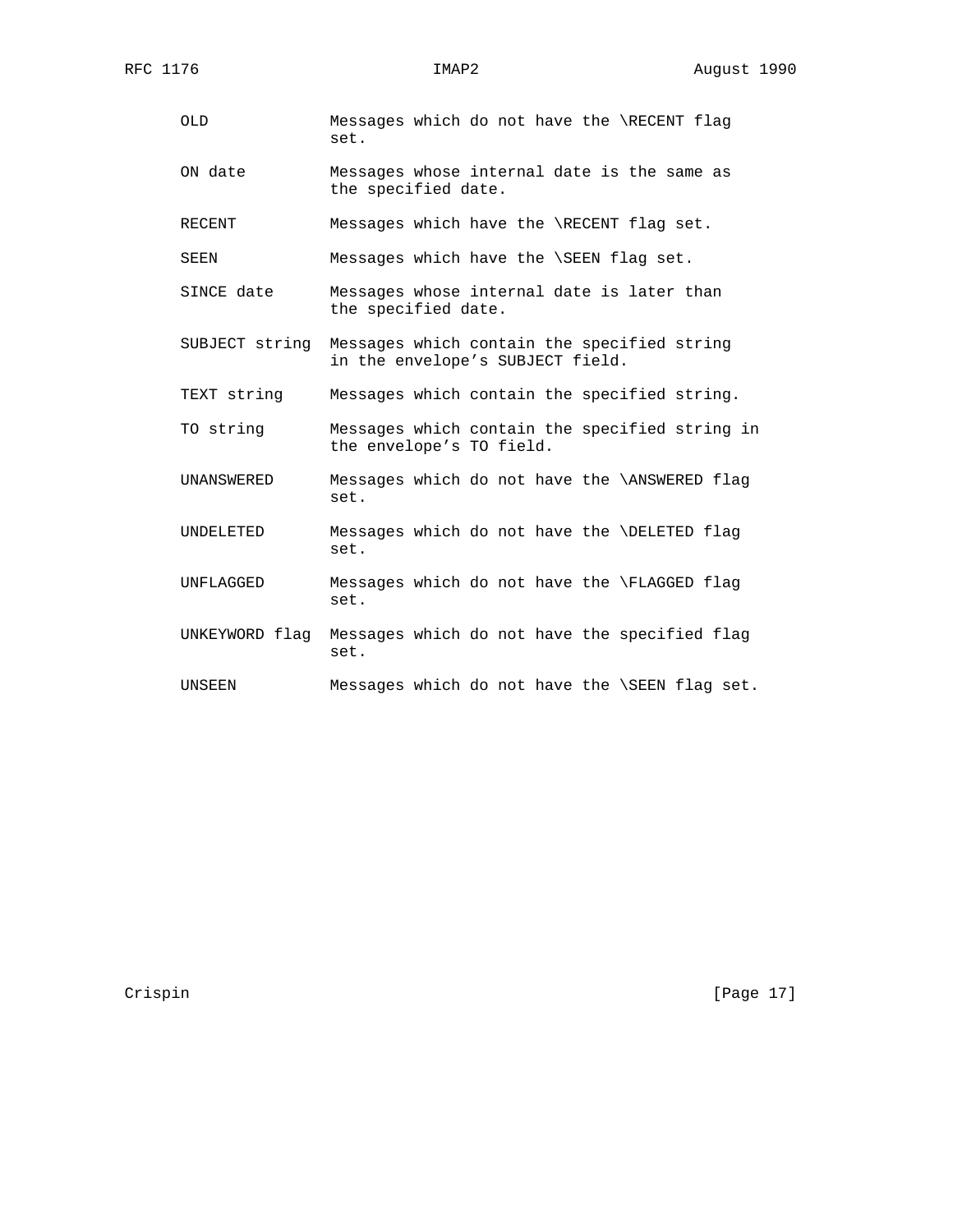- OLD Messages which do not have the \RECENT flag set.
- ON date Messages whose internal date is the same as the specified date.

RECENT Messages which have the \RECENT flag set.

SEEN Messages which have the \SEEN flag set.

- SINCE date Messages whose internal date is later than the specified date.
- SUBJECT string Messages which contain the specified string in the envelope's SUBJECT field.
- TEXT string Messages which contain the specified string.
- TO string Messages which contain the specified string in the envelope's TO field.
- UNANSWERED Messages which do not have the \ANSWERED flag set.
- UNDELETED Messages which do not have the \DELETED flag set.
- UNFLAGGED Messages which do not have the \FLAGGED flag set.
- UNKEYWORD flag Messages which do not have the specified flag set.
- UNSEEN Messages which do not have the \SEEN flag set.

Crispin [Page 17]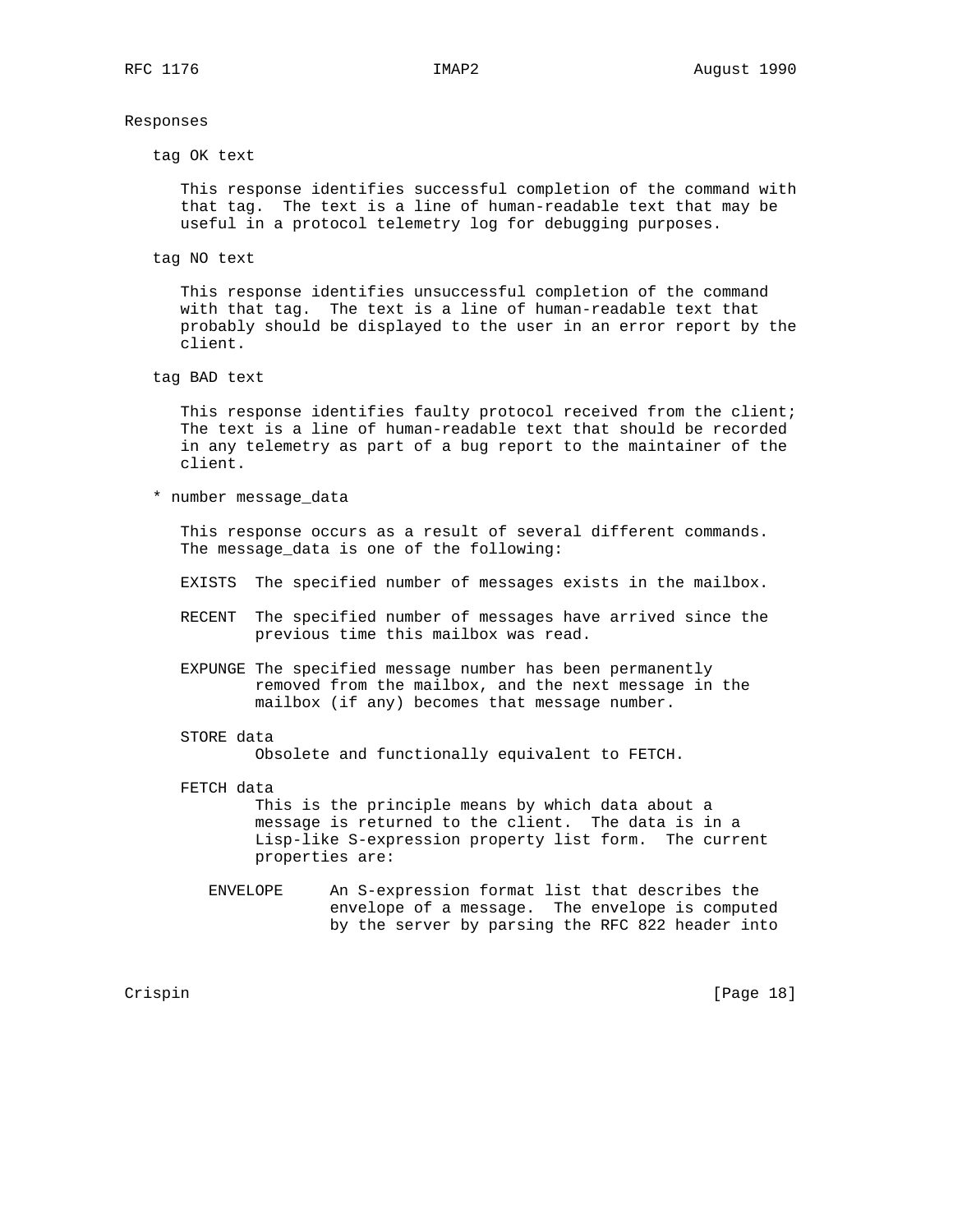#### Responses

tag OK text

 This response identifies successful completion of the command with that tag. The text is a line of human-readable text that may be useful in a protocol telemetry log for debugging purposes.

tag NO text

 This response identifies unsuccessful completion of the command with that tag. The text is a line of human-readable text that probably should be displayed to the user in an error report by the client.

tag BAD text

 This response identifies faulty protocol received from the client; The text is a line of human-readable text that should be recorded in any telemetry as part of a bug report to the maintainer of the client.

\* number message\_data

 This response occurs as a result of several different commands. The message\_data is one of the following:

- EXISTS The specified number of messages exists in the mailbox.
- RECENT The specified number of messages have arrived since the previous time this mailbox was read.
- EXPUNGE The specified message number has been permanently removed from the mailbox, and the next message in the mailbox (if any) becomes that message number.
- STORE data

Obsolete and functionally equivalent to FETCH.

FETCH data

 This is the principle means by which data about a message is returned to the client. The data is in a Lisp-like S-expression property list form. The current properties are:

 ENVELOPE An S-expression format list that describes the envelope of a message. The envelope is computed by the server by parsing the RFC 822 header into

Crispin [Page 18]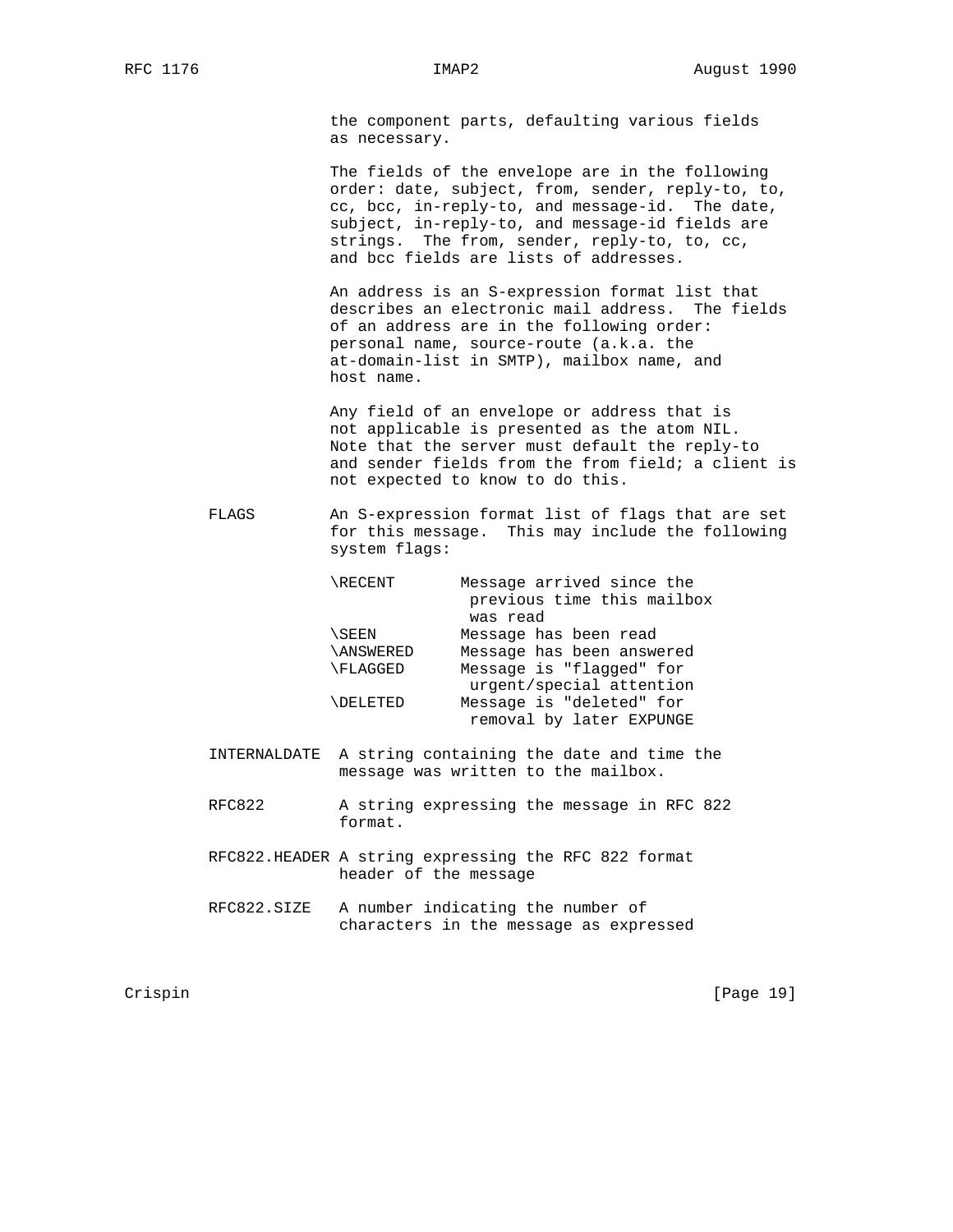the component parts, defaulting various fields as necessary.

 The fields of the envelope are in the following order: date, subject, from, sender, reply-to, to, cc, bcc, in-reply-to, and message-id. The date, subject, in-reply-to, and message-id fields are strings. The from, sender, reply-to, to, cc, and bcc fields are lists of addresses.

 An address is an S-expression format list that describes an electronic mail address. The fields of an address are in the following order: personal name, source-route (a.k.a. the at-domain-list in SMTP), mailbox name, and host name.

 Any field of an envelope or address that is not applicable is presented as the atom NIL. Note that the server must default the reply-to and sender fields from the from field; a client is not expected to know to do this.

 FLAGS An S-expression format list of flags that are set for this message. This may include the following system flags:

| <b>RECENT</b>   | Message arrived since the<br>previous time this mailbox |
|-----------------|---------------------------------------------------------|
|                 | was read                                                |
| \SEEN           | Message has been read                                   |
| <b>ANSWERED</b> | Message has been answered                               |
| \FLAGGED        | Message is "flagged" for                                |
|                 | urgent/special attention                                |
| <b>NDELETED</b> | Message is "deleted" for                                |
|                 | removal by later EXPUNGE                                |

- INTERNALDATE A string containing the date and time the message was written to the mailbox.
- RFC822 A string expressing the message in RFC 822 format.
- RFC822.HEADER A string expressing the RFC 822 format header of the message
- RFC822.SIZE A number indicating the number of characters in the message as expressed

Crispin [Page 19]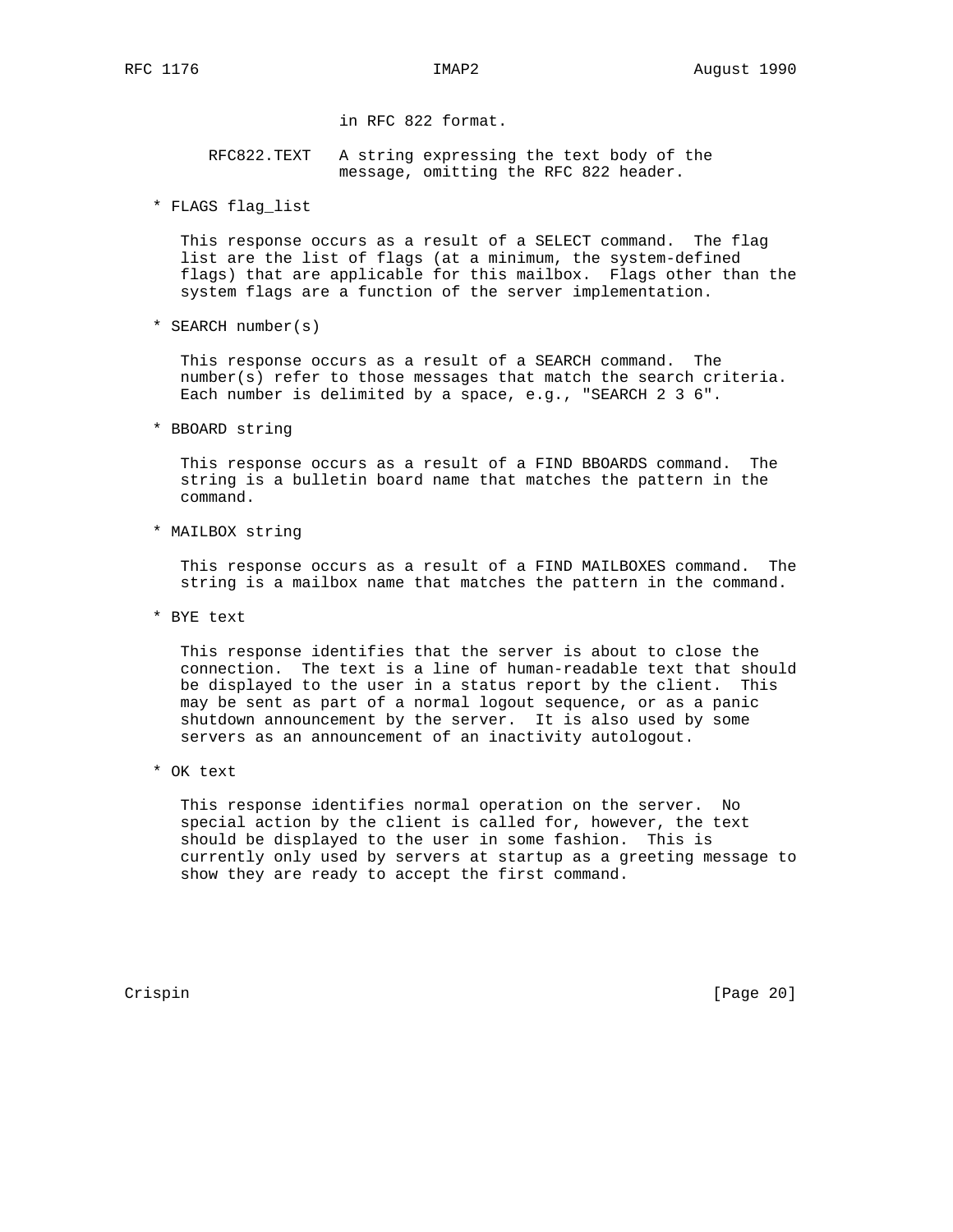in RFC 822 format.

 RFC822.TEXT A string expressing the text body of the message, omitting the RFC 822 header.

\* FLAGS flag\_list

 This response occurs as a result of a SELECT command. The flag list are the list of flags (at a minimum, the system-defined flags) that are applicable for this mailbox. Flags other than the system flags are a function of the server implementation.

\* SEARCH number(s)

 This response occurs as a result of a SEARCH command. The number(s) refer to those messages that match the search criteria. Each number is delimited by a space, e.g., "SEARCH 2 3 6".

\* BBOARD string

 This response occurs as a result of a FIND BBOARDS command. The string is a bulletin board name that matches the pattern in the command.

\* MAILBOX string

 This response occurs as a result of a FIND MAILBOXES command. The string is a mailbox name that matches the pattern in the command.

\* BYE text

 This response identifies that the server is about to close the connection. The text is a line of human-readable text that should be displayed to the user in a status report by the client. This may be sent as part of a normal logout sequence, or as a panic shutdown announcement by the server. It is also used by some servers as an announcement of an inactivity autologout.

\* OK text

 This response identifies normal operation on the server. No special action by the client is called for, however, the text should be displayed to the user in some fashion. This is currently only used by servers at startup as a greeting message to show they are ready to accept the first command.

Crispin [Page 20]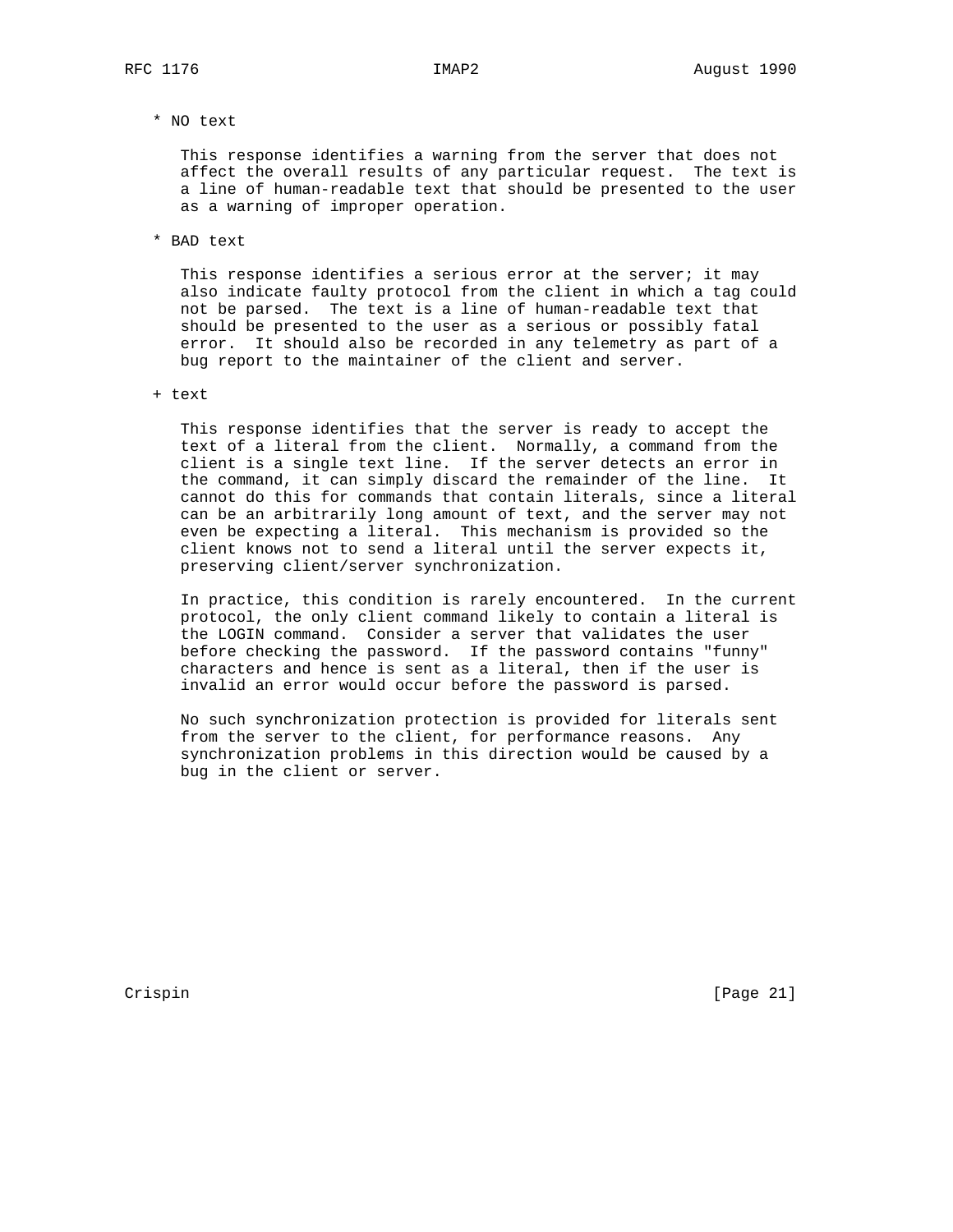\* NO text

 This response identifies a warning from the server that does not affect the overall results of any particular request. The text is a line of human-readable text that should be presented to the user as a warning of improper operation.

\* BAD text

This response identifies a serious error at the server; it may also indicate faulty protocol from the client in which a tag could not be parsed. The text is a line of human-readable text that should be presented to the user as a serious or possibly fatal error. It should also be recorded in any telemetry as part of a bug report to the maintainer of the client and server.

+ text

 This response identifies that the server is ready to accept the text of a literal from the client. Normally, a command from the client is a single text line. If the server detects an error in the command, it can simply discard the remainder of the line. It cannot do this for commands that contain literals, since a literal can be an arbitrarily long amount of text, and the server may not even be expecting a literal. This mechanism is provided so the client knows not to send a literal until the server expects it, preserving client/server synchronization.

 In practice, this condition is rarely encountered. In the current protocol, the only client command likely to contain a literal is the LOGIN command. Consider a server that validates the user before checking the password. If the password contains "funny" characters and hence is sent as a literal, then if the user is invalid an error would occur before the password is parsed.

 No such synchronization protection is provided for literals sent from the server to the client, for performance reasons. Any synchronization problems in this direction would be caused by a bug in the client or server.

Crispin [Page 21]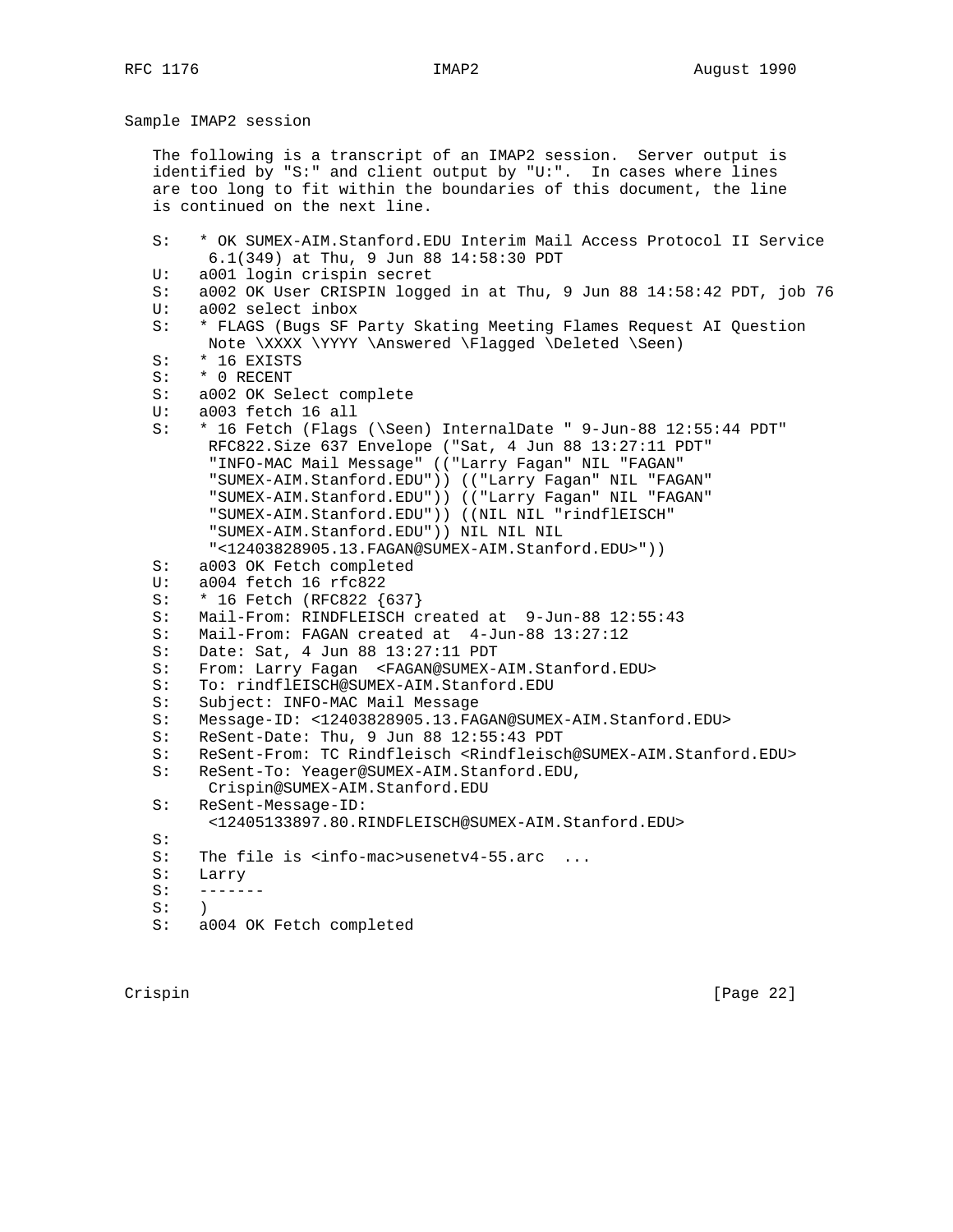Sample IMAP2 session

 The following is a transcript of an IMAP2 session. Server output is identified by "S:" and client output by "U:". In cases where lines are too long to fit within the boundaries of this document, the line is continued on the next line.

 S: \* OK SUMEX-AIM.Stanford.EDU Interim Mail Access Protocol II Service 6.1(349) at Thu, 9 Jun 88 14:58:30 PDT U: a001 login crispin secret S: a002 OK User CRISPIN logged in at Thu, 9 Jun 88 14:58:42 PDT, job 76 U: a002 select inbox S: \* FLAGS (Bugs SF Party Skating Meeting Flames Request AI Question Note \XXXX \YYYY \Answered \Flagged \Deleted \Seen) S: \* 16 EXISTS S: \* 0 RECENT S: a002 OK Select complete U: a003 fetch 16 all S: \* 16 Fetch (Flags (\Seen) InternalDate " 9-Jun-88 12:55:44 PDT" RFC822.Size 637 Envelope ("Sat, 4 Jun 88 13:27:11 PDT" "INFO-MAC Mail Message" (("Larry Fagan" NIL "FAGAN" "SUMEX-AIM.Stanford.EDU")) (("Larry Fagan" NIL "FAGAN" "SUMEX-AIM.Stanford.EDU")) (("Larry Fagan" NIL "FAGAN" "SUMEX-AIM.Stanford.EDU")) ((NIL NIL "rindflEISCH" "SUMEX-AIM.Stanford.EDU")) NIL NIL NIL "<12403828905.13.FAGAN@SUMEX-AIM.Stanford.EDU>")) S: a003 OK Fetch completed U: a004 fetch 16 rfc822 S: \* 16 Fetch (RFC822 {637} S: Mail-From: RINDFLEISCH created at 9-Jun-88 12:55:43 S: Mail-From: FAGAN created at 4-Jun-88 13:27:12 S: Date: Sat, 4 Jun 88 13:27:11 PDT S: From: Larry Fagan <FAGAN@SUMEX-AIM.Stanford.EDU> S: To: rindflEISCH@SUMEX-AIM.Stanford.EDU S: Subject: INFO-MAC Mail Message S: Message-ID: <12403828905.13.FAGAN@SUMEX-AIM.Stanford.EDU><br>S: ReSent-Date: Thu, 9 Jun 88 12:55:43 PDT ReSent-Date: Thu, 9 Jun 88 12:55:43 PDT S: ReSent-From: TC Rindfleisch <Rindfleisch@SUMEX-AIM.Stanford.EDU> S: ReSent-To: Yeager@SUMEX-AIM.Stanford.EDU, Crispin@SUMEX-AIM.Stanford.EDU S: ReSent-Message-ID: <12405133897.80.RINDFLEISCH@SUMEX-AIM.Stanford.EDU>  $S:$  S: The file is <info-mac>usenetv4-55.arc ... S: Larry  $S:$  ------- $S:$  ) S: a004 OK Fetch completed

Crispin [Page 22]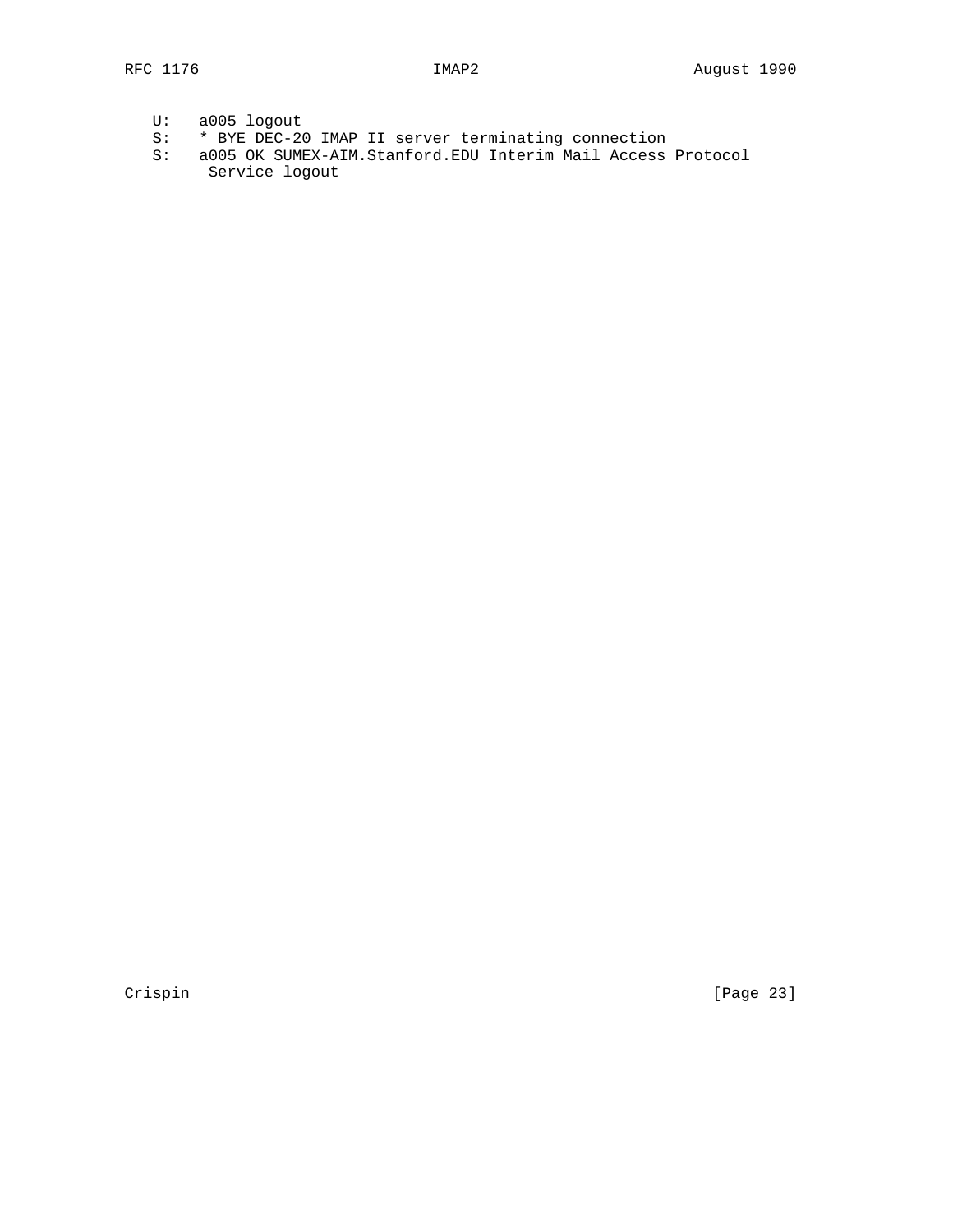- S: \* BYE DEC-20 IMAP II server terminating connection
- S: a005 OK SUMEX-AIM.Stanford.EDU Interim Mail Access Protocol Service logout

Crispin [Page 23]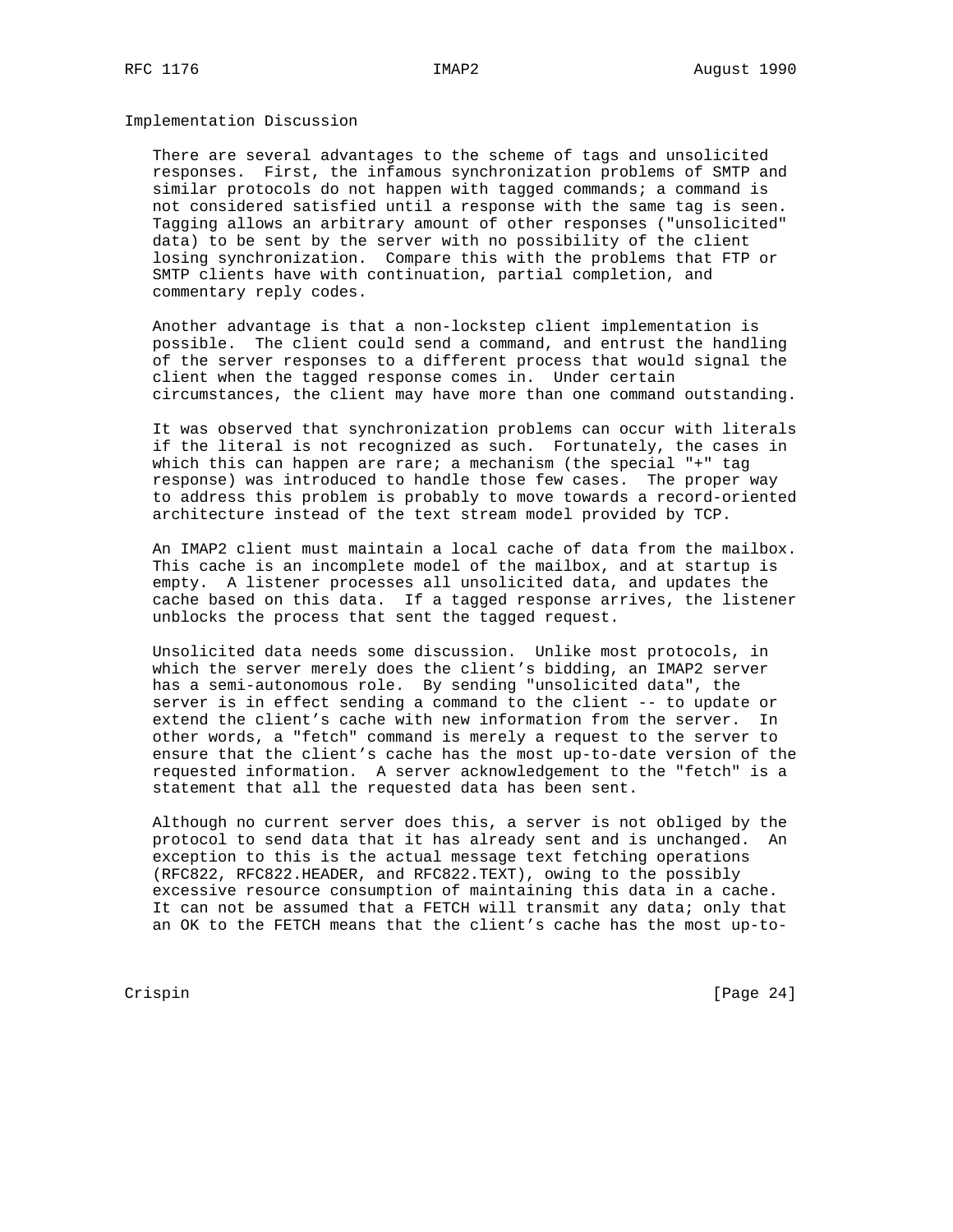Implementation Discussion

 There are several advantages to the scheme of tags and unsolicited responses. First, the infamous synchronization problems of SMTP and similar protocols do not happen with tagged commands; a command is not considered satisfied until a response with the same tag is seen. Tagging allows an arbitrary amount of other responses ("unsolicited" data) to be sent by the server with no possibility of the client losing synchronization. Compare this with the problems that FTP or SMTP clients have with continuation, partial completion, and commentary reply codes.

 Another advantage is that a non-lockstep client implementation is possible. The client could send a command, and entrust the handling of the server responses to a different process that would signal the client when the tagged response comes in. Under certain circumstances, the client may have more than one command outstanding.

 It was observed that synchronization problems can occur with literals if the literal is not recognized as such. Fortunately, the cases in which this can happen are rare; a mechanism (the special "+" tag response) was introduced to handle those few cases. The proper way to address this problem is probably to move towards a record-oriented architecture instead of the text stream model provided by TCP.

 An IMAP2 client must maintain a local cache of data from the mailbox. This cache is an incomplete model of the mailbox, and at startup is empty. A listener processes all unsolicited data, and updates the cache based on this data. If a tagged response arrives, the listener unblocks the process that sent the tagged request.

 Unsolicited data needs some discussion. Unlike most protocols, in which the server merely does the client's bidding, an IMAP2 server has a semi-autonomous role. By sending "unsolicited data", the server is in effect sending a command to the client -- to update or extend the client's cache with new information from the server. In other words, a "fetch" command is merely a request to the server to ensure that the client's cache has the most up-to-date version of the requested information. A server acknowledgement to the "fetch" is a statement that all the requested data has been sent.

 Although no current server does this, a server is not obliged by the protocol to send data that it has already sent and is unchanged. An exception to this is the actual message text fetching operations (RFC822, RFC822.HEADER, and RFC822.TEXT), owing to the possibly excessive resource consumption of maintaining this data in a cache. It can not be assumed that a FETCH will transmit any data; only that an OK to the FETCH means that the client's cache has the most up-to-

Crispin [Page 24]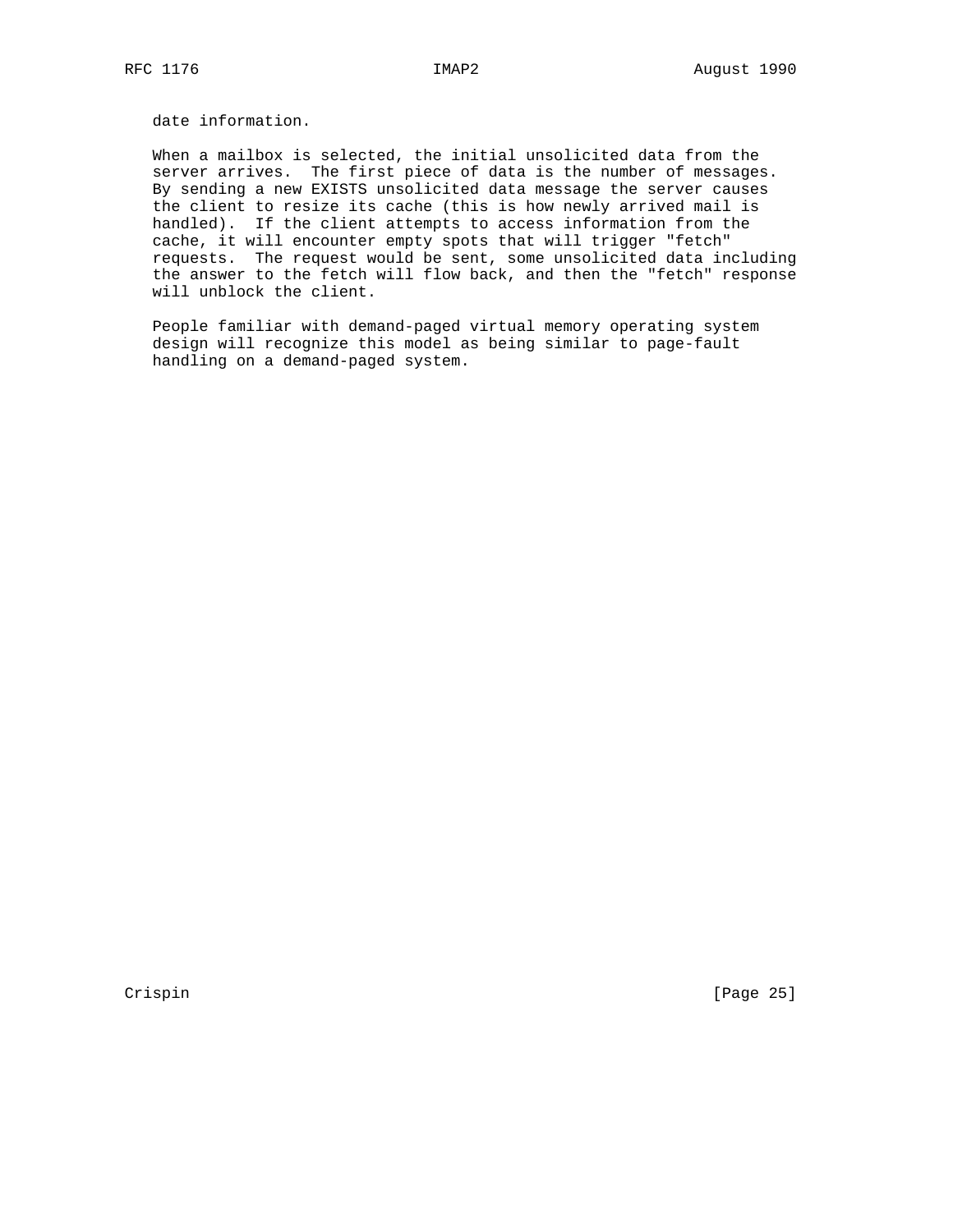date information.

 When a mailbox is selected, the initial unsolicited data from the server arrives. The first piece of data is the number of messages. By sending a new EXISTS unsolicited data message the server causes the client to resize its cache (this is how newly arrived mail is handled). If the client attempts to access information from the cache, it will encounter empty spots that will trigger "fetch" requests. The request would be sent, some unsolicited data including the answer to the fetch will flow back, and then the "fetch" response will unblock the client.

 People familiar with demand-paged virtual memory operating system design will recognize this model as being similar to page-fault handling on a demand-paged system.

Crispin [Page 25]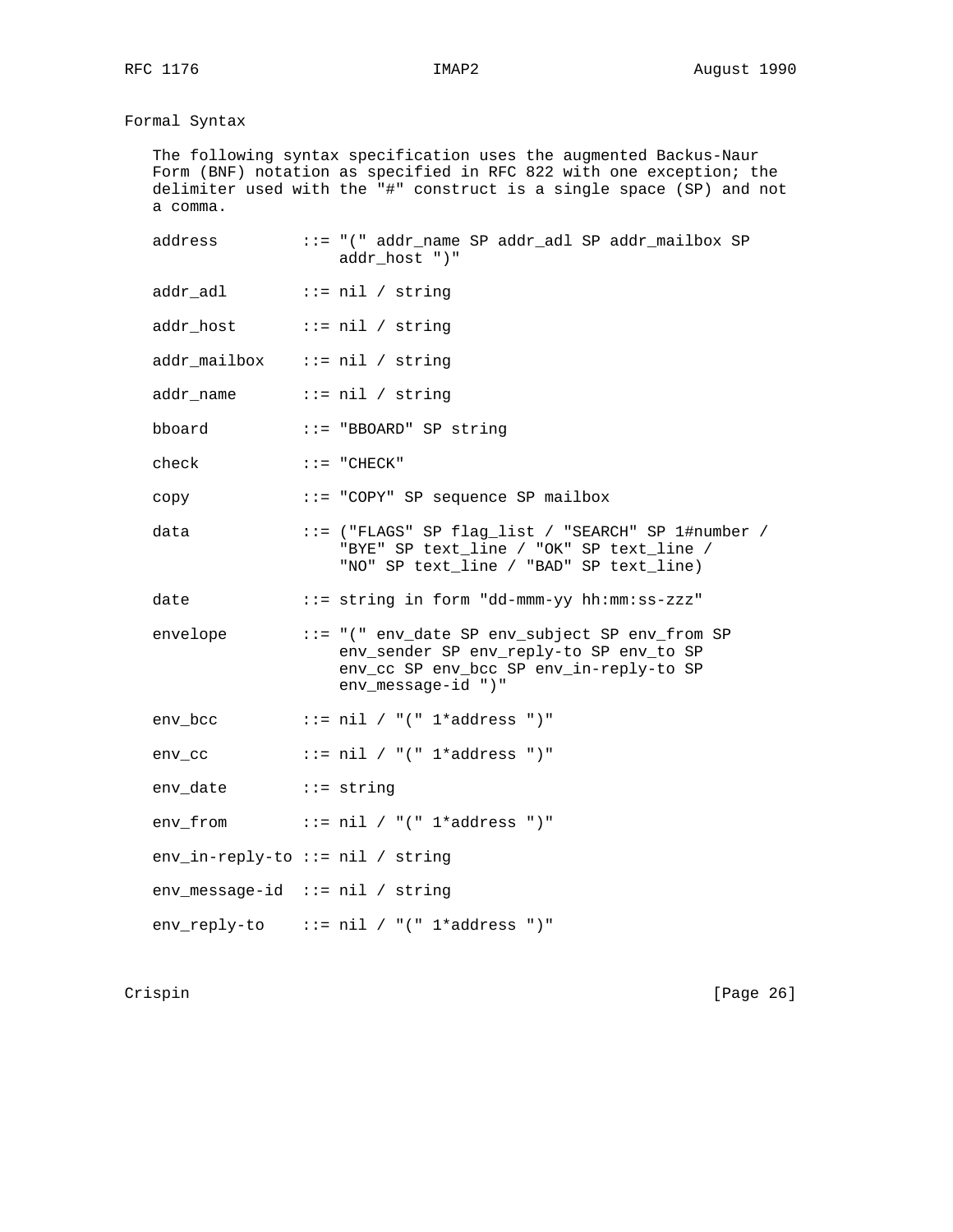# Formal Syntax

 The following syntax specification uses the augmented Backus-Naur Form (BNF) notation as specified in RFC 822 with one exception; the delimiter used with the "#" construct is a single space (SP) and not a comma.

| address                            | ::= "(" addr_name SP addr_adl SP addr_mailbox SP<br>addr_host ")"                                                                                          |
|------------------------------------|------------------------------------------------------------------------------------------------------------------------------------------------------------|
| addr_adl                           | $ ::= \text{nil} / \text{string}$                                                                                                                          |
| addr_host                          | $::=$ nil / string                                                                                                                                         |
| $addr_matrix = nil / string$       |                                                                                                                                                            |
| $addr_name$ ::= $nil / string$     |                                                                                                                                                            |
| bboard                             | ::= "BBOARD" SP string                                                                                                                                     |
| check                              | $::=$ "CHECK"                                                                                                                                              |
| copy                               | ::= "COPY" SP sequence SP mailbox                                                                                                                          |
| data                               | ::= ("FLAGS" SP flag_list / "SEARCH" SP 1#number /<br>"BYE" SP text_line / "OK" SP text_line /<br>"NO" SP text_line / "BAD" SP text_line)                  |
| date                               | ::= string in form "dd-mmm-yy hh:mm:ss-zzz"                                                                                                                |
| envelope                           | ::= "(" env_date SP env_subject SP env_from SP<br>env_sender SP env_reply-to SP env_to SP<br>env_cc SP env_bcc SP env_in-reply-to SP<br>env message-id ")" |
| env_bcc                            | $::=$ nil / "(" $1 *$ address ")"                                                                                                                          |
| env cc                             | $::=$ nil / "(" $1 *$ address ")"                                                                                                                          |
| env_date ::= string                |                                                                                                                                                            |
| env_from                           | ::= nil / "(" 1*address ")"                                                                                                                                |
| $env_in-reply-to :: nil / string$  |                                                                                                                                                            |
| $env\_message-id ::= nil / string$ |                                                                                                                                                            |
|                                    | $env\_reply-to$ ::= nil / "(" 1*address ")"                                                                                                                |

Crispin [Page 26]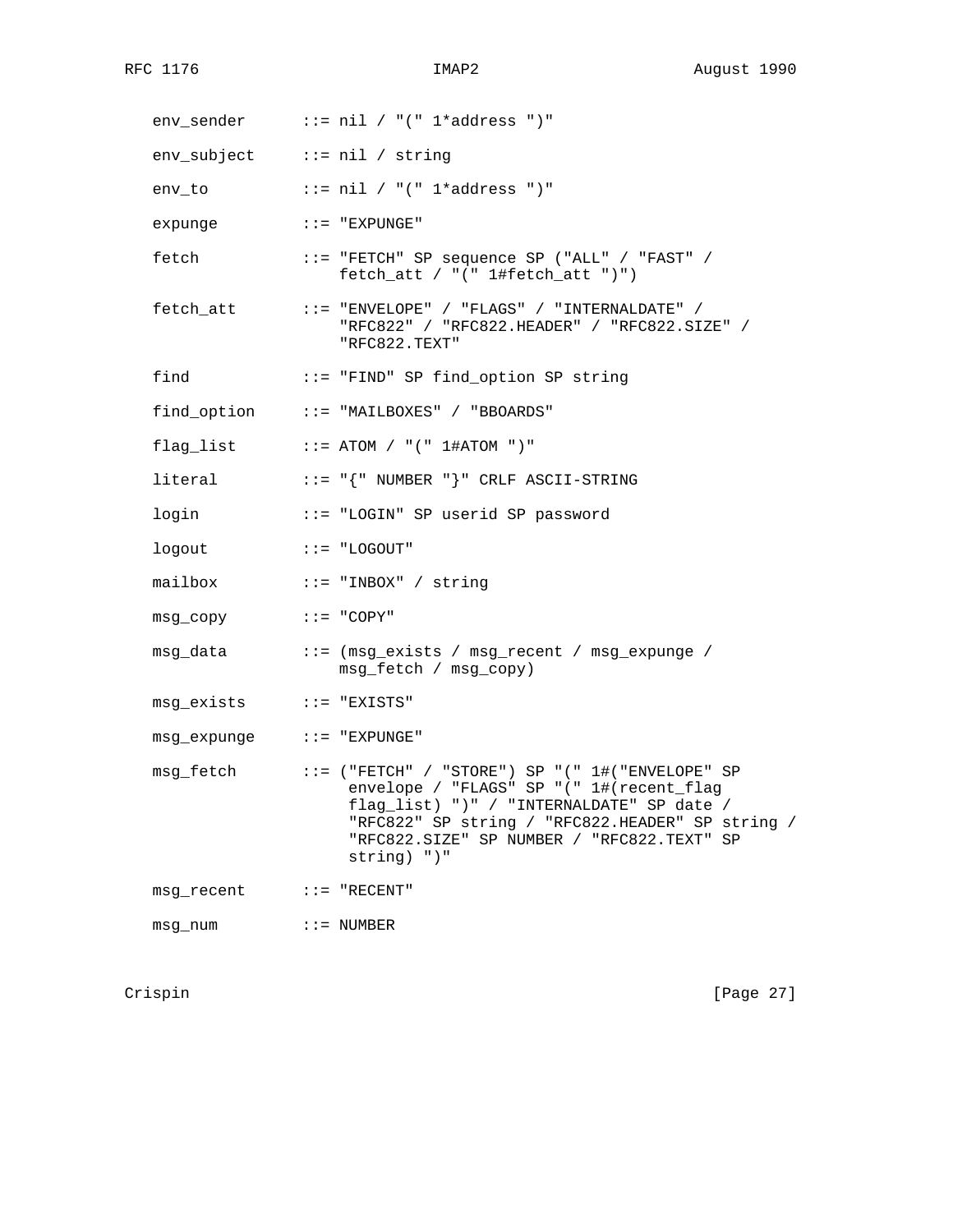|                              | $env$ _sender ::= nil / "(" 1*address ")"                                                                                                                                                                                                                        |
|------------------------------|------------------------------------------------------------------------------------------------------------------------------------------------------------------------------------------------------------------------------------------------------------------|
| env_subject ::= nil / string |                                                                                                                                                                                                                                                                  |
| env_to                       | $::=$ nil / "(" 1*address ")"                                                                                                                                                                                                                                    |
| expunge                      | $: := "EXPUNGE"$                                                                                                                                                                                                                                                 |
| fetch                        | ::= "FETCH" SP sequence SP ("ALL" / "FAST" /<br>$fetch_att / " ("1#fetch_att ")")$                                                                                                                                                                               |
| fetch att                    | $::=$ "ENVELOPE" / "FLAGS" / "INTERNALDATE" /<br>"RFC822" / "RFC822.HEADER" / "RFC822.SIZE" /<br>"RFC822.TEXT"                                                                                                                                                   |
| find                         | ::= "FIND" SP find_option SP string                                                                                                                                                                                                                              |
|                              | find_option ::= "MAILBOXES" / "BBOARDS"                                                                                                                                                                                                                          |
|                              | $flag\_list$ ::= ATOM / "(" $1#ATOM$ ")"                                                                                                                                                                                                                         |
| literal                      | $::= " { " NUMBER " } " CRLF ASCII-STRING"$                                                                                                                                                                                                                      |
| login                        | ::= "LOGIN" SP userid SP password                                                                                                                                                                                                                                |
| logout                       | $::= "LOGOUT"$                                                                                                                                                                                                                                                   |
| mailbox                      | $::=$ "INBOX" / string                                                                                                                                                                                                                                           |
| msg_copy                     | $::= "COPY"$                                                                                                                                                                                                                                                     |
| msg_data                     | ::= (msg_exists / msg_recent / msg_expunge /<br>msg_fetch / msg_copy)                                                                                                                                                                                            |
| msg_exists                   | $::=$ "EXISTS"                                                                                                                                                                                                                                                   |
| msg_expunge                  | $: :=$ "EXPUNGE"                                                                                                                                                                                                                                                 |
| msg_fetch                    | $::=$ ("FETCH" / "STORE") SP "(" $1#$ ("ENVELOPE" SP<br>envelope / "FLAGS" SP "(" 1#(recent_flag<br>flag_list) ")" / "INTERNALDATE" SP date /<br>"RFC822" SP string / "RFC822.HEADER" SP string /<br>"RFC822.SIZE" SP NUMBER / "RFC822.TEXT" SP<br>$string)$ ")" |
| msg_recent                   | $\colon \colon \colon$ = "RECENT"                                                                                                                                                                                                                                |
| msg_num                      | $::=$ NUMBER                                                                                                                                                                                                                                                     |

Crispin [Page 27]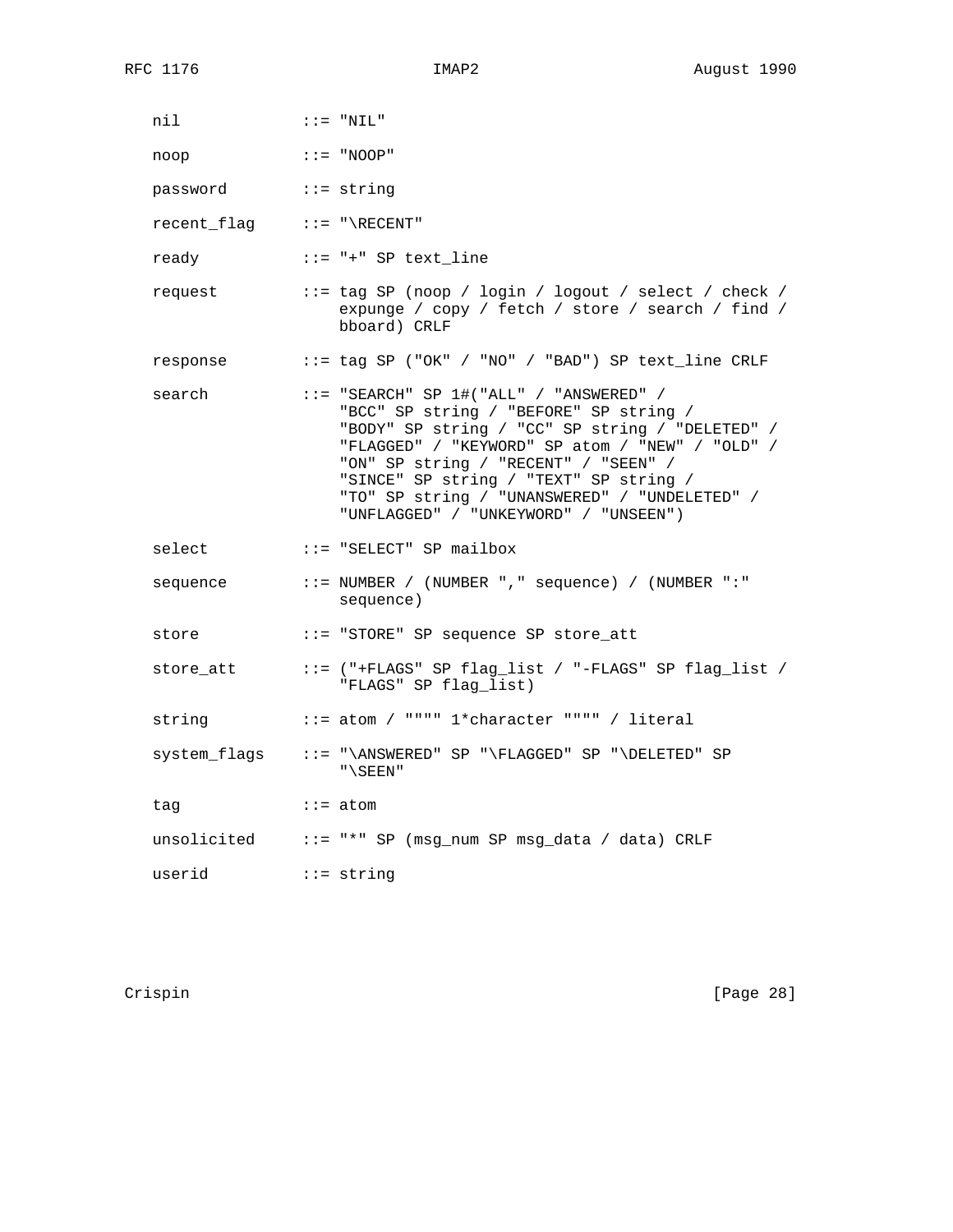| nil                                                                                                                                                                                                                                                                                                                                                                                                                                                                                     | $:: = "NIL"$                                                                                                                                                                                                                                                                                                                                                             |
|-----------------------------------------------------------------------------------------------------------------------------------------------------------------------------------------------------------------------------------------------------------------------------------------------------------------------------------------------------------------------------------------------------------------------------------------------------------------------------------------|--------------------------------------------------------------------------------------------------------------------------------------------------------------------------------------------------------------------------------------------------------------------------------------------------------------------------------------------------------------------------|
| $\mathbf{C} \mathbf{C} = \mathbf{C} \cdot \mathbf{C} \cdot \mathbf{C} \cdot \mathbf{C} \cdot \mathbf{C} \cdot \mathbf{C} \cdot \mathbf{C} \cdot \mathbf{C} \cdot \mathbf{C} \cdot \mathbf{C} \cdot \mathbf{C} \cdot \mathbf{C} \cdot \mathbf{C} \cdot \mathbf{C} \cdot \mathbf{C} \cdot \mathbf{C} \cdot \mathbf{C} \cdot \mathbf{C} \cdot \mathbf{C} \cdot \mathbf{C} \cdot \mathbf{C} \cdot \mathbf{C} \cdot \mathbf{C} \cdot \mathbf{C} \cdot \mathbf{C} \cdot \mathbf{C} \$<br>noop |                                                                                                                                                                                                                                                                                                                                                                          |
| password ::= string                                                                                                                                                                                                                                                                                                                                                                                                                                                                     |                                                                                                                                                                                                                                                                                                                                                                          |
| $recent_flag$ ::= "\RECENT"                                                                                                                                                                                                                                                                                                                                                                                                                                                             |                                                                                                                                                                                                                                                                                                                                                                          |
|                                                                                                                                                                                                                                                                                                                                                                                                                                                                                         | ready ::= "+" SP text_line                                                                                                                                                                                                                                                                                                                                               |
| request                                                                                                                                                                                                                                                                                                                                                                                                                                                                                 | ::= tag SP (noop / login / logout / select / check /<br>expunge / copy / fetch / store / search / find /<br>bboard) CRLF                                                                                                                                                                                                                                                 |
| response                                                                                                                                                                                                                                                                                                                                                                                                                                                                                | ::= tag SP ("OK" / "NO" / "BAD") SP text_line CRLF                                                                                                                                                                                                                                                                                                                       |
| search                                                                                                                                                                                                                                                                                                                                                                                                                                                                                  | $::=$ "SEARCH" SP $1#$ ("ALL" / "ANSWERED" /<br>"BCC" SP string / "BEFORE" SP string /<br>"BODY" SP string / "CC" SP string / "DELETED" /<br>"FLAGGED" / "KEYWORD" SP atom / "NEW" / "OLD" /<br>"ON" SP string / "RECENT" / "SEEN" /<br>"SINCE" SP string / "TEXT" SP string /<br>"TO" SP string / "UNANSWERED" / "UNDELETED" /<br>"UNFLAGGED" / "UNKEYWORD" / "UNSEEN") |
| select                                                                                                                                                                                                                                                                                                                                                                                                                                                                                  | $: := "SELECT"$ SP mailbox                                                                                                                                                                                                                                                                                                                                               |
|                                                                                                                                                                                                                                                                                                                                                                                                                                                                                         | sequence ::= NUMBER / (NUMBER ", " sequence) / (NUMBER ": "<br>sequence)                                                                                                                                                                                                                                                                                                 |
| store                                                                                                                                                                                                                                                                                                                                                                                                                                                                                   | ::= "STORE" SP sequence SP store_att                                                                                                                                                                                                                                                                                                                                     |
|                                                                                                                                                                                                                                                                                                                                                                                                                                                                                         | "FLAGS" SP flag_list)                                                                                                                                                                                                                                                                                                                                                    |
| string                                                                                                                                                                                                                                                                                                                                                                                                                                                                                  | $::=$ atom / """" $1*$ character """" / literal                                                                                                                                                                                                                                                                                                                          |
|                                                                                                                                                                                                                                                                                                                                                                                                                                                                                         | system_flags ::= "\ANSWERED" SP "\FLAGGED" SP "\DELETED" SP<br>$"$ \SEEN"                                                                                                                                                                                                                                                                                                |
| tag                                                                                                                                                                                                                                                                                                                                                                                                                                                                                     | $::=$ atom                                                                                                                                                                                                                                                                                                                                                               |
|                                                                                                                                                                                                                                                                                                                                                                                                                                                                                         | unsolicited ::= "*" SP (msg_num SP msg_data / data) CRLF                                                                                                                                                                                                                                                                                                                 |
| userid $\cdots$ $\cdots$ string                                                                                                                                                                                                                                                                                                                                                                                                                                                         |                                                                                                                                                                                                                                                                                                                                                                          |

Crispin [Page 28]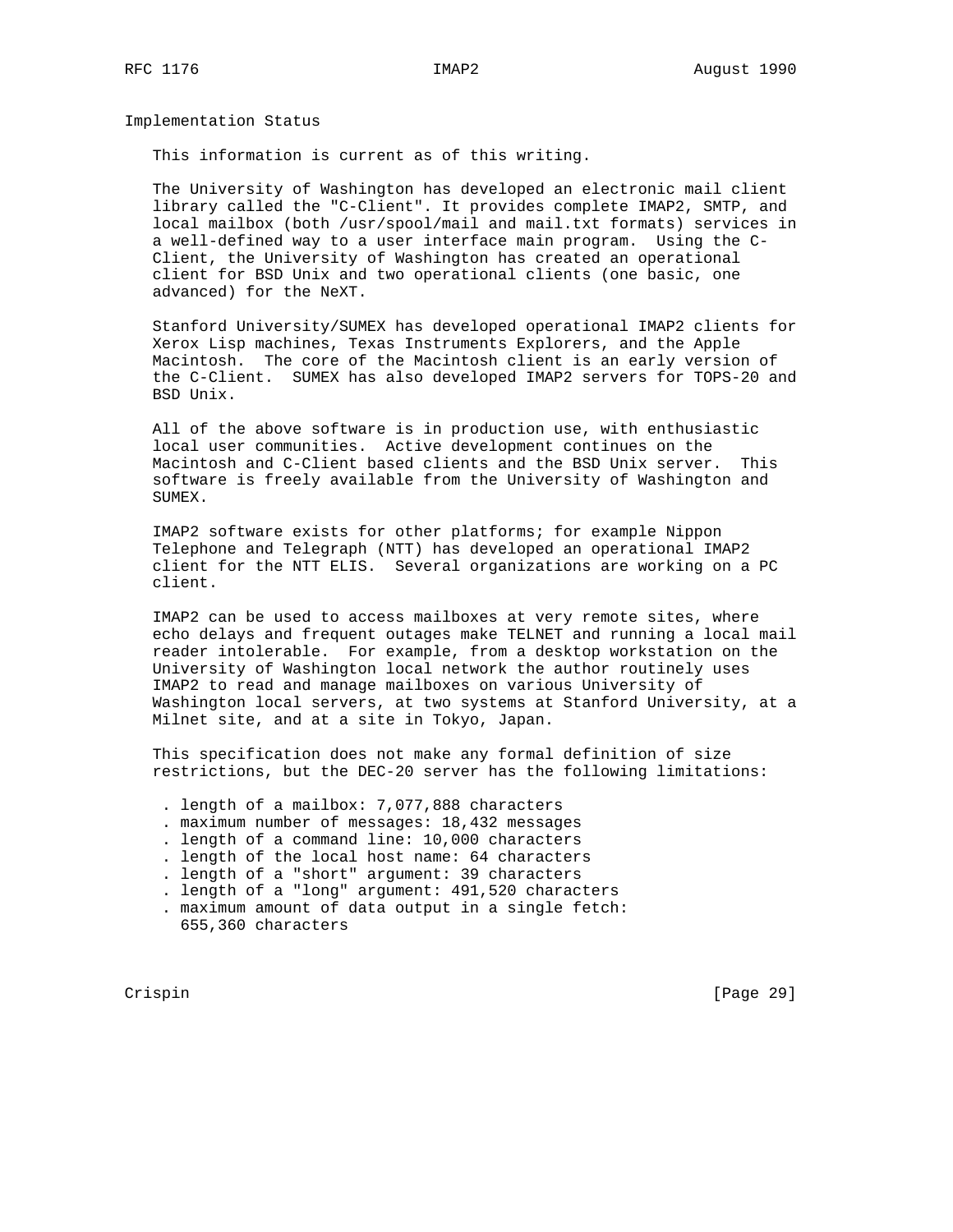Implementation Status

This information is current as of this writing.

 The University of Washington has developed an electronic mail client library called the "C-Client". It provides complete IMAP2, SMTP, and local mailbox (both /usr/spool/mail and mail.txt formats) services in a well-defined way to a user interface main program. Using the C- Client, the University of Washington has created an operational client for BSD Unix and two operational clients (one basic, one advanced) for the NeXT.

 Stanford University/SUMEX has developed operational IMAP2 clients for Xerox Lisp machines, Texas Instruments Explorers, and the Apple Macintosh. The core of the Macintosh client is an early version of the C-Client. SUMEX has also developed IMAP2 servers for TOPS-20 and BSD Unix.

 All of the above software is in production use, with enthusiastic local user communities. Active development continues on the Macintosh and C-Client based clients and the BSD Unix server. This software is freely available from the University of Washington and SUMEX.

 IMAP2 software exists for other platforms; for example Nippon Telephone and Telegraph (NTT) has developed an operational IMAP2 client for the NTT ELIS. Several organizations are working on a PC client.

 IMAP2 can be used to access mailboxes at very remote sites, where echo delays and frequent outages make TELNET and running a local mail reader intolerable. For example, from a desktop workstation on the University of Washington local network the author routinely uses IMAP2 to read and manage mailboxes on various University of Washington local servers, at two systems at Stanford University, at a Milnet site, and at a site in Tokyo, Japan.

 This specification does not make any formal definition of size restrictions, but the DEC-20 server has the following limitations:

- . length of a mailbox: 7,077,888 characters
- . maximum number of messages: 18,432 messages
- . length of a command line: 10,000 characters
- . length of the local host name: 64 characters
- . length of a "short" argument: 39 characters
- . length of a "long" argument: 491,520 characters

. maximum amount of data output in a single fetch:

655,360 characters

Crispin [Page 29]